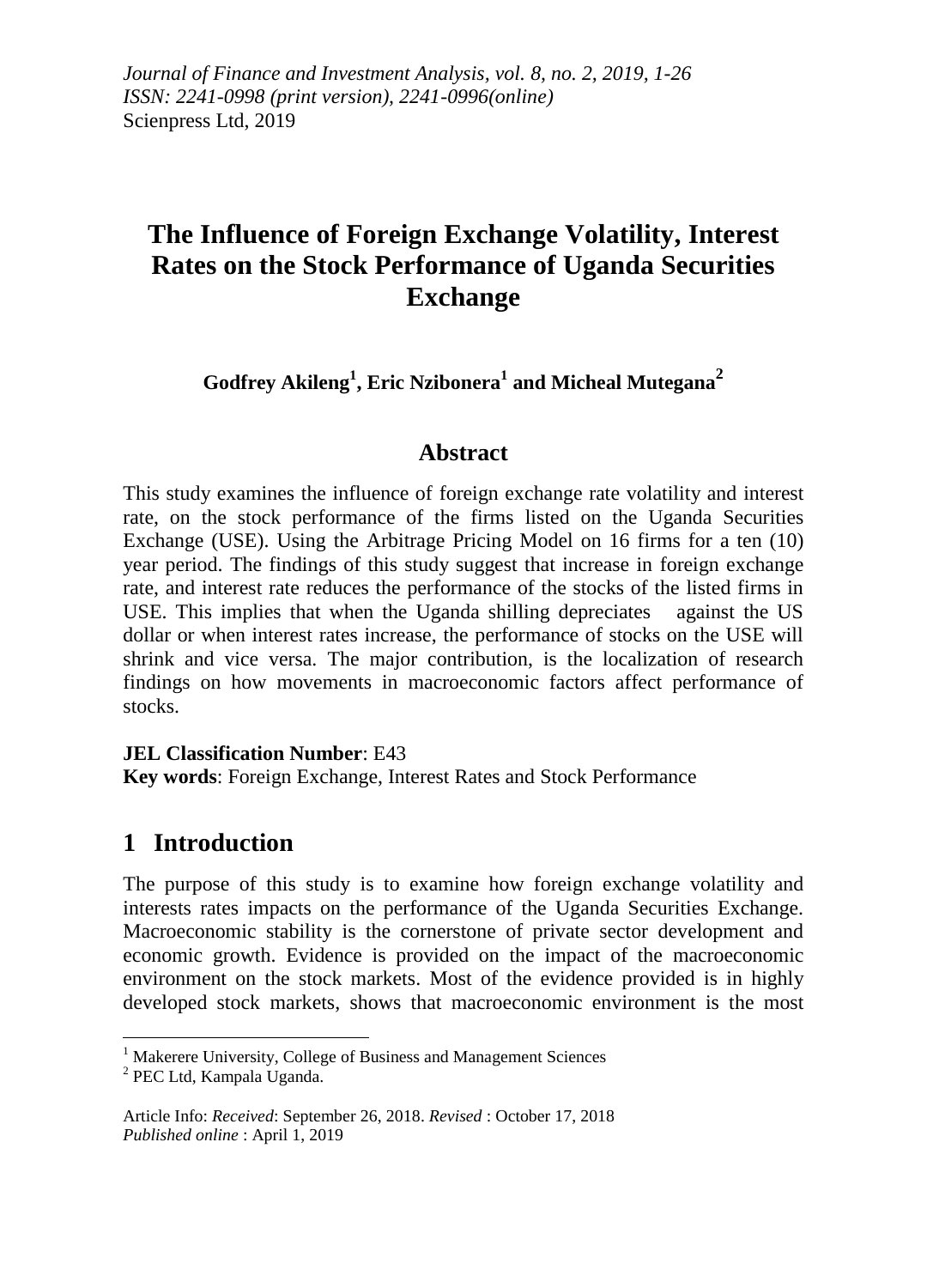*Journal of Finance and Investment Analysis, vol. 8, no. 2, 2019, 1-26 ISSN: 2241-0998 (print version), 2241-0996(online)* Scienpress Ltd, 2019

# **The Influence of Foreign Exchange Volatility, Interest Rates on the Stock Performance of Uganda Securities Exchange**

**Godfrey Akileng<sup>1</sup> , Eric Nzibonera<sup>1</sup> and Micheal Mutegana<sup>2</sup>**

### **Abstract**

This study examines the influence of foreign exchange rate volatility and interest rate, on the stock performance of the firms listed on the Uganda Securities Exchange (USE). Using the Arbitrage Pricing Model on 16 firms for a ten (10) year period. The findings of this study suggest that increase in foreign exchange rate, and interest rate reduces the performance of the stocks of the listed firms in USE. This implies that when the Uganda shilling depreciates against the US dollar or when interest rates increase, the performance of stocks on the USE will shrink and vice versa. The major contribution, is the localization of research findings on how movements in macroeconomic factors affect performance of stocks.

### **JEL Classification Number**: E43

**Key words**: Foreign Exchange, Interest Rates and Stock Performance

# **1 Introduction**

The purpose of this study is to examine how foreign exchange volatility and interests rates impacts on the performance of the Uganda Securities Exchange. Macroeconomic stability is the cornerstone of private sector development and economic growth. Evidence is provided on the impact of the macroeconomic environment on the stock markets. Most of the evidence provided is in highly developed stock markets, shows that macroeconomic environment is the most

 $\overline{\phantom{a}}$ 

<sup>&</sup>lt;sup>1</sup> Makerere University, College of Business and Management Sciences

<sup>&</sup>lt;sup>2</sup> PEC Ltd, Kampala Uganda.

Article Info: *Received*: September 26, 2018. *Revised* : October 17, 2018 *Published online* : April 1, 2019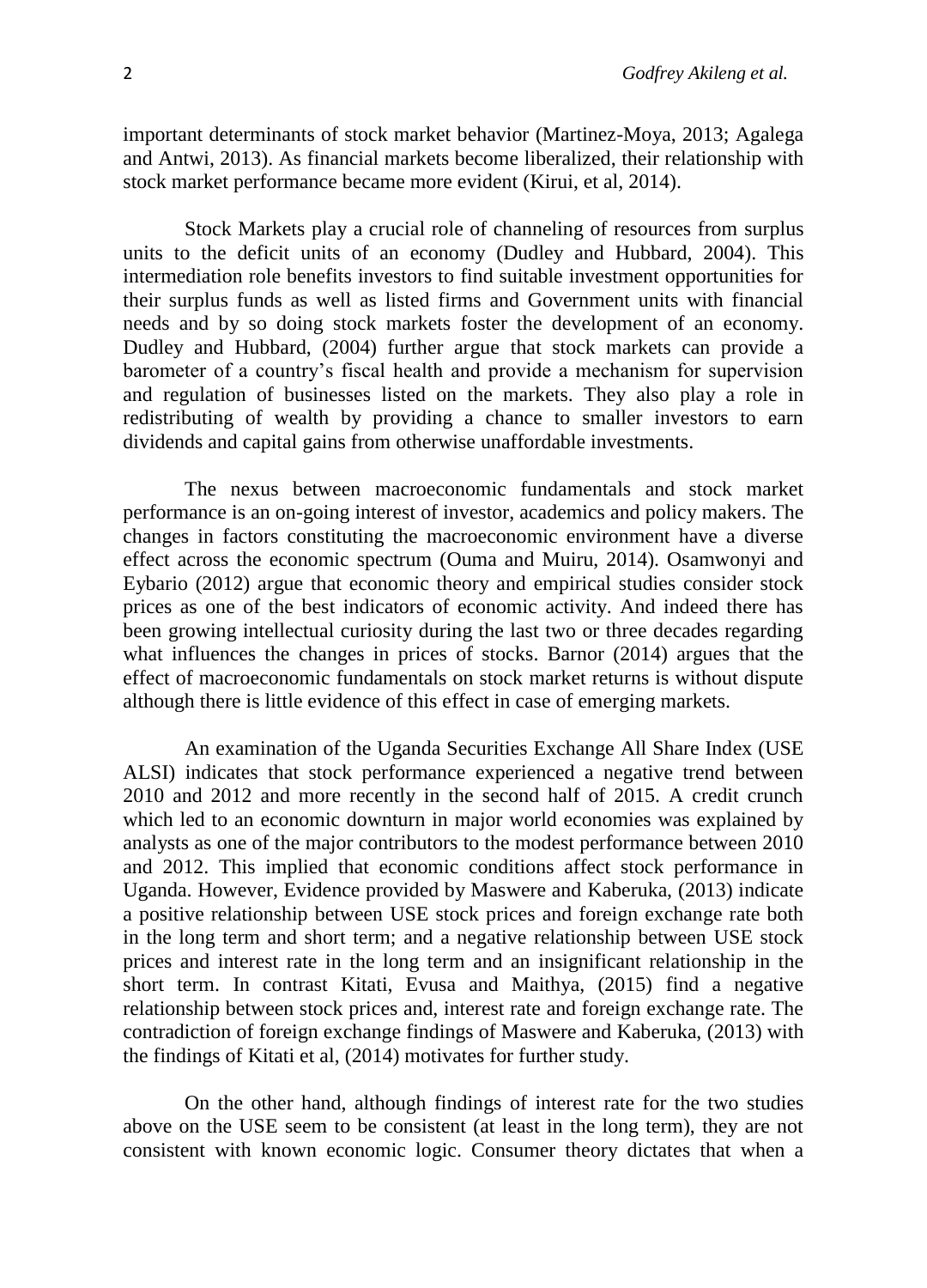important determinants of stock market behavior (Martinez-Moya, 2013; Agalega and Antwi, 2013). As financial markets become liberalized, their relationship with stock market performance became more evident (Kirui, et al, 2014).

Stock Markets play a crucial role of channeling of resources from surplus units to the deficit units of an economy (Dudley and Hubbard, 2004). This intermediation role benefits investors to find suitable investment opportunities for their surplus funds as well as listed firms and Government units with financial needs and by so doing stock markets foster the development of an economy. Dudley and Hubbard, (2004) further argue that stock markets can provide a barometer of a country's fiscal health and provide a mechanism for supervision and regulation of businesses listed on the markets. They also play a role in redistributing of wealth by providing a chance to smaller investors to earn dividends and capital gains from otherwise unaffordable investments.

The nexus between macroeconomic fundamentals and stock market performance is an on-going interest of investor, academics and policy makers. The changes in factors constituting the macroeconomic environment have a diverse effect across the economic spectrum (Ouma and Muiru, 2014). Osamwonyi and Eybario (2012) argue that economic theory and empirical studies consider stock prices as one of the best indicators of economic activity. And indeed there has been growing intellectual curiosity during the last two or three decades regarding what influences the changes in prices of stocks. Barnor (2014) argues that the effect of macroeconomic fundamentals on stock market returns is without dispute although there is little evidence of this effect in case of emerging markets.

An examination of the Uganda Securities Exchange All Share Index (USE ALSI) indicates that stock performance experienced a negative trend between 2010 and 2012 and more recently in the second half of 2015. A credit crunch which led to an economic downturn in major world economies was explained by analysts as one of the major contributors to the modest performance between 2010 and 2012. This implied that economic conditions affect stock performance in Uganda. However, Evidence provided by Maswere and Kaberuka, (2013) indicate a positive relationship between USE stock prices and foreign exchange rate both in the long term and short term; and a negative relationship between USE stock prices and interest rate in the long term and an insignificant relationship in the short term. In contrast Kitati, Evusa and Maithya, (2015) find a negative relationship between stock prices and, interest rate and foreign exchange rate. The contradiction of foreign exchange findings of Maswere and Kaberuka, (2013) with the findings of Kitati et al, (2014) motivates for further study.

On the other hand, although findings of interest rate for the two studies above on the USE seem to be consistent (at least in the long term), they are not consistent with known economic logic. Consumer theory dictates that when a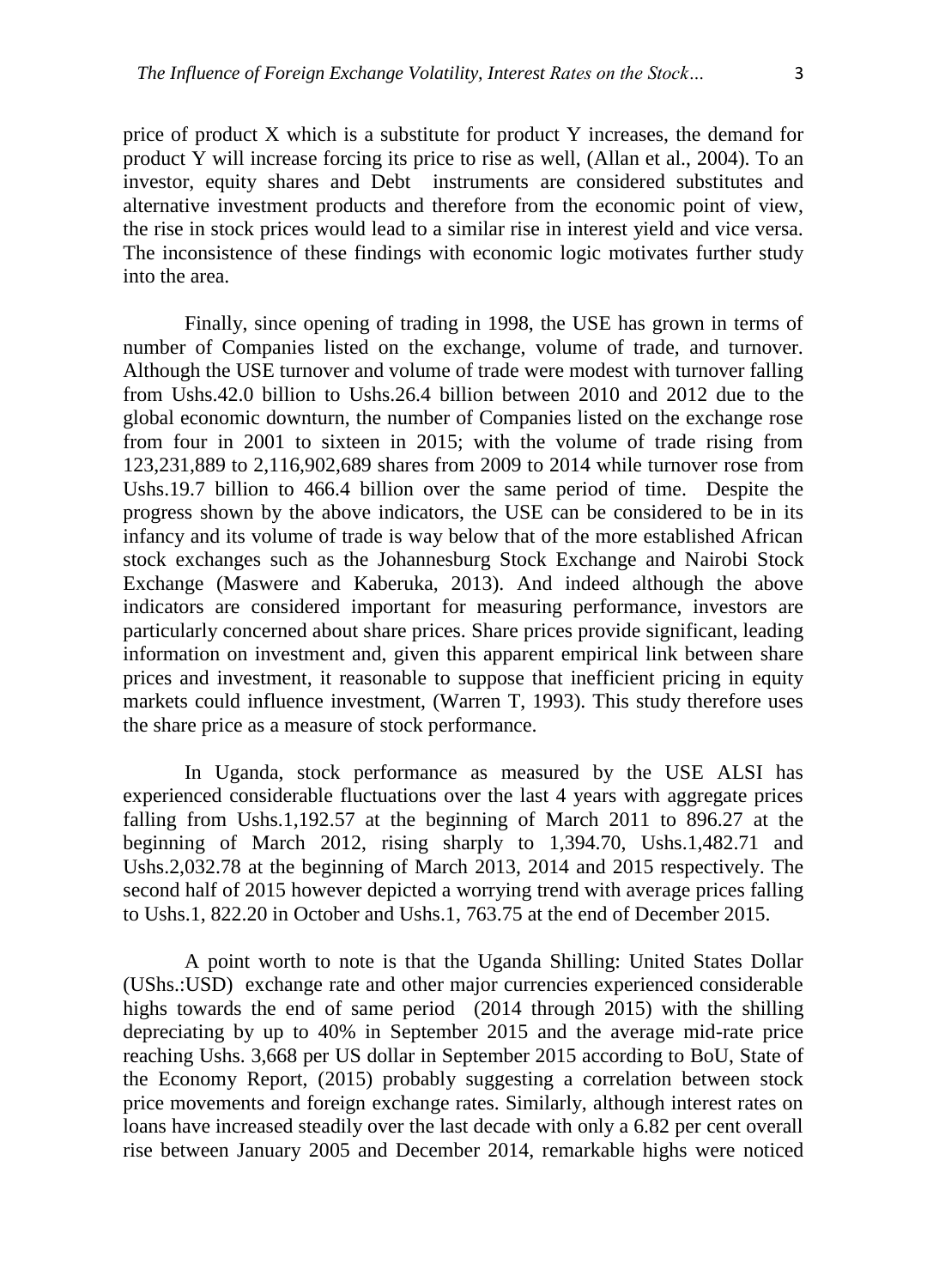price of product X which is a substitute for product Y increases, the demand for product Y will increase forcing its price to rise as well, (Allan et al., 2004). To an investor, equity shares and Debt instruments are considered substitutes and alternative investment products and therefore from the economic point of view, the rise in stock prices would lead to a similar rise in interest yield and vice versa. The inconsistence of these findings with economic logic motivates further study into the area.

Finally, since opening of trading in 1998, the USE has grown in terms of number of Companies listed on the exchange, volume of trade, and turnover. Although the USE turnover and volume of trade were modest with turnover falling from Ushs.42.0 billion to Ushs.26.4 billion between 2010 and 2012 due to the global economic downturn, the number of Companies listed on the exchange rose from four in 2001 to sixteen in 2015; with the volume of trade rising from 123,231,889 to 2,116,902,689 shares from 2009 to 2014 while turnover rose from Ushs.19.7 billion to 466.4 billion over the same period of time. Despite the progress shown by the above indicators, the USE can be considered to be in its infancy and its volume of trade is way below that of the more established African stock exchanges such as the Johannesburg Stock Exchange and Nairobi Stock Exchange (Maswere and Kaberuka, 2013). And indeed although the above indicators are considered important for measuring performance, investors are particularly concerned about share prices. Share prices provide significant, leading information on investment and, given this apparent empirical link between share prices and investment, it reasonable to suppose that inefficient pricing in equity markets could influence investment, (Warren T, 1993). This study therefore uses the share price as a measure of stock performance.

In Uganda, stock performance as measured by the USE ALSI has experienced considerable fluctuations over the last 4 years with aggregate prices falling from Ushs.1,192.57 at the beginning of March 2011 to 896.27 at the beginning of March 2012, rising sharply to 1,394.70, Ushs.1,482.71 and Ushs.2,032.78 at the beginning of March 2013, 2014 and 2015 respectively. The second half of 2015 however depicted a worrying trend with average prices falling to Ushs.1, 822.20 in October and Ushs.1, 763.75 at the end of December 2015.

A point worth to note is that the Uganda Shilling: United States Dollar (UShs.:USD) exchange rate and other major currencies experienced considerable highs towards the end of same period (2014 through 2015) with the shilling depreciating by up to 40% in September 2015 and the average mid-rate price reaching Ushs. 3,668 per US dollar in September 2015 according to BoU, State of the Economy Report, (2015) probably suggesting a correlation between stock price movements and foreign exchange rates. Similarly, although interest rates on loans have increased steadily over the last decade with only a 6.82 per cent overall rise between January 2005 and December 2014, remarkable highs were noticed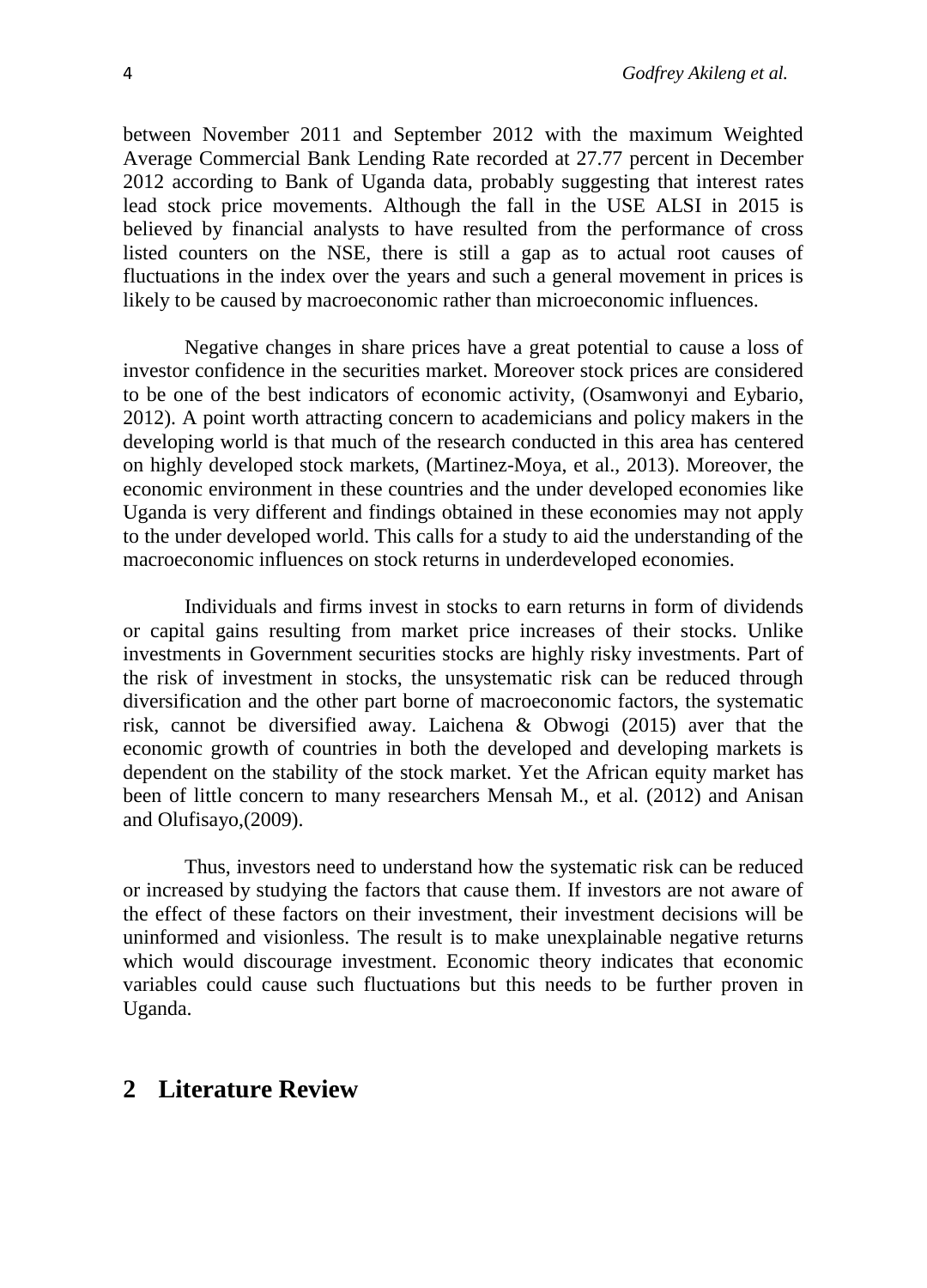between November 2011 and September 2012 with the maximum Weighted Average Commercial Bank Lending Rate recorded at 27.77 percent in December 2012 according to Bank of Uganda data, probably suggesting that interest rates lead stock price movements. Although the fall in the USE ALSI in 2015 is believed by financial analysts to have resulted from the performance of cross listed counters on the NSE, there is still a gap as to actual root causes of fluctuations in the index over the years and such a general movement in prices is likely to be caused by macroeconomic rather than microeconomic influences.

Negative changes in share prices have a great potential to cause a loss of investor confidence in the securities market. Moreover stock prices are considered to be one of the best indicators of economic activity, (Osamwonyi and Eybario, 2012). A point worth attracting concern to academicians and policy makers in the developing world is that much of the research conducted in this area has centered on highly developed stock markets, (Martinez-Moya, et al., 2013). Moreover, the economic environment in these countries and the under developed economies like Uganda is very different and findings obtained in these economies may not apply to the under developed world. This calls for a study to aid the understanding of the macroeconomic influences on stock returns in underdeveloped economies.

Individuals and firms invest in stocks to earn returns in form of dividends or capital gains resulting from market price increases of their stocks. Unlike investments in Government securities stocks are highly risky investments. Part of the risk of investment in stocks, the unsystematic risk can be reduced through diversification and the other part borne of macroeconomic factors, the systematic risk, cannot be diversified away. Laichena & Obwogi (2015) aver that the economic growth of countries in both the developed and developing markets is dependent on the stability of the stock market. Yet the African equity market has been of little concern to many researchers Mensah M., et al. (2012) and Anisan and Olufisayo,(2009).

Thus, investors need to understand how the systematic risk can be reduced or increased by studying the factors that cause them. If investors are not aware of the effect of these factors on their investment, their investment decisions will be uninformed and visionless. The result is to make unexplainable negative returns which would discourage investment. Economic theory indicates that economic variables could cause such fluctuations but this needs to be further proven in Uganda.

### **2 Literature Review**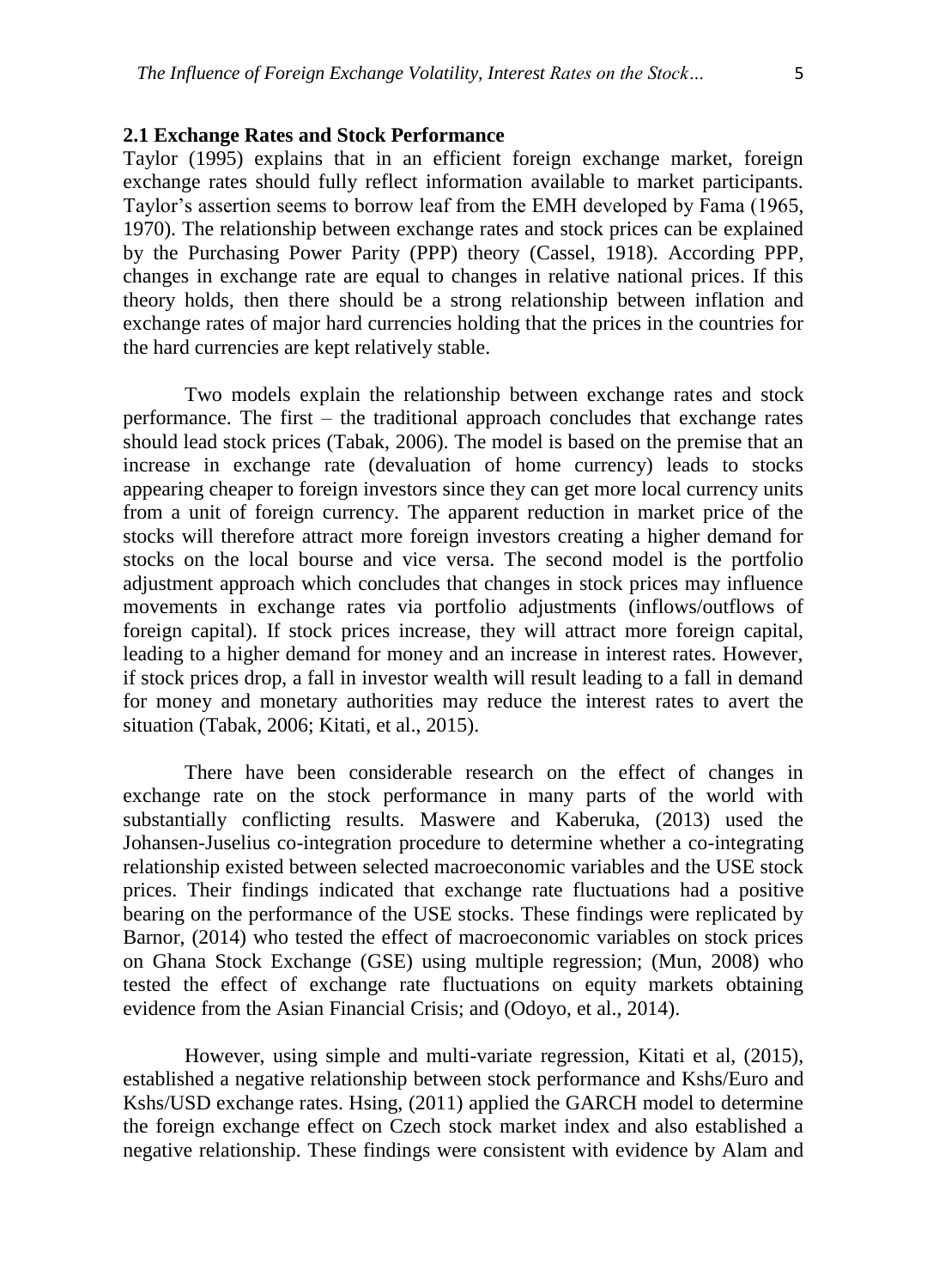### **2.1 Exchange Rates and Stock Performance**

Taylor (1995) explains that in an efficient foreign exchange market, foreign exchange rates should fully reflect information available to market participants. Taylor's assertion seems to borrow leaf from the EMH developed by Fama (1965, 1970). The relationship between exchange rates and stock prices can be explained by the Purchasing Power Parity (PPP) theory (Cassel, 1918). According PPP, changes in exchange rate are equal to changes in relative national prices. If this theory holds, then there should be a strong relationship between inflation and exchange rates of major hard currencies holding that the prices in the countries for the hard currencies are kept relatively stable.

Two models explain the relationship between exchange rates and stock performance. The first – the traditional approach concludes that exchange rates should lead stock prices (Tabak, 2006). The model is based on the premise that an increase in exchange rate (devaluation of home currency) leads to stocks appearing cheaper to foreign investors since they can get more local currency units from a unit of foreign currency. The apparent reduction in market price of the stocks will therefore attract more foreign investors creating a higher demand for stocks on the local bourse and vice versa. The second model is the portfolio adjustment approach which concludes that changes in stock prices may influence movements in exchange rates via portfolio adjustments (inflows/outflows of foreign capital). If stock prices increase, they will attract more foreign capital, leading to a higher demand for money and an increase in interest rates. However, if stock prices drop, a fall in investor wealth will result leading to a fall in demand for money and monetary authorities may reduce the interest rates to avert the situation (Tabak, 2006; Kitati, et al., 2015).

There have been considerable research on the effect of changes in exchange rate on the stock performance in many parts of the world with substantially conflicting results. Maswere and Kaberuka, (2013) used the Johansen-Juselius co-integration procedure to determine whether a co-integrating relationship existed between selected macroeconomic variables and the USE stock prices. Their findings indicated that exchange rate fluctuations had a positive bearing on the performance of the USE stocks. These findings were replicated by Barnor, (2014) who tested the effect of macroeconomic variables on stock prices on Ghana Stock Exchange (GSE) using multiple regression; (Mun, 2008) who tested the effect of exchange rate fluctuations on equity markets obtaining evidence from the Asian Financial Crisis; and (Odoyo, et al., 2014).

However, using simple and multi-variate regression, Kitati et al, (2015), established a negative relationship between stock performance and Kshs/Euro and Kshs/USD exchange rates. Hsing, (2011) applied the GARCH model to determine the foreign exchange effect on Czech stock market index and also established a negative relationship. These findings were consistent with evidence by Alam and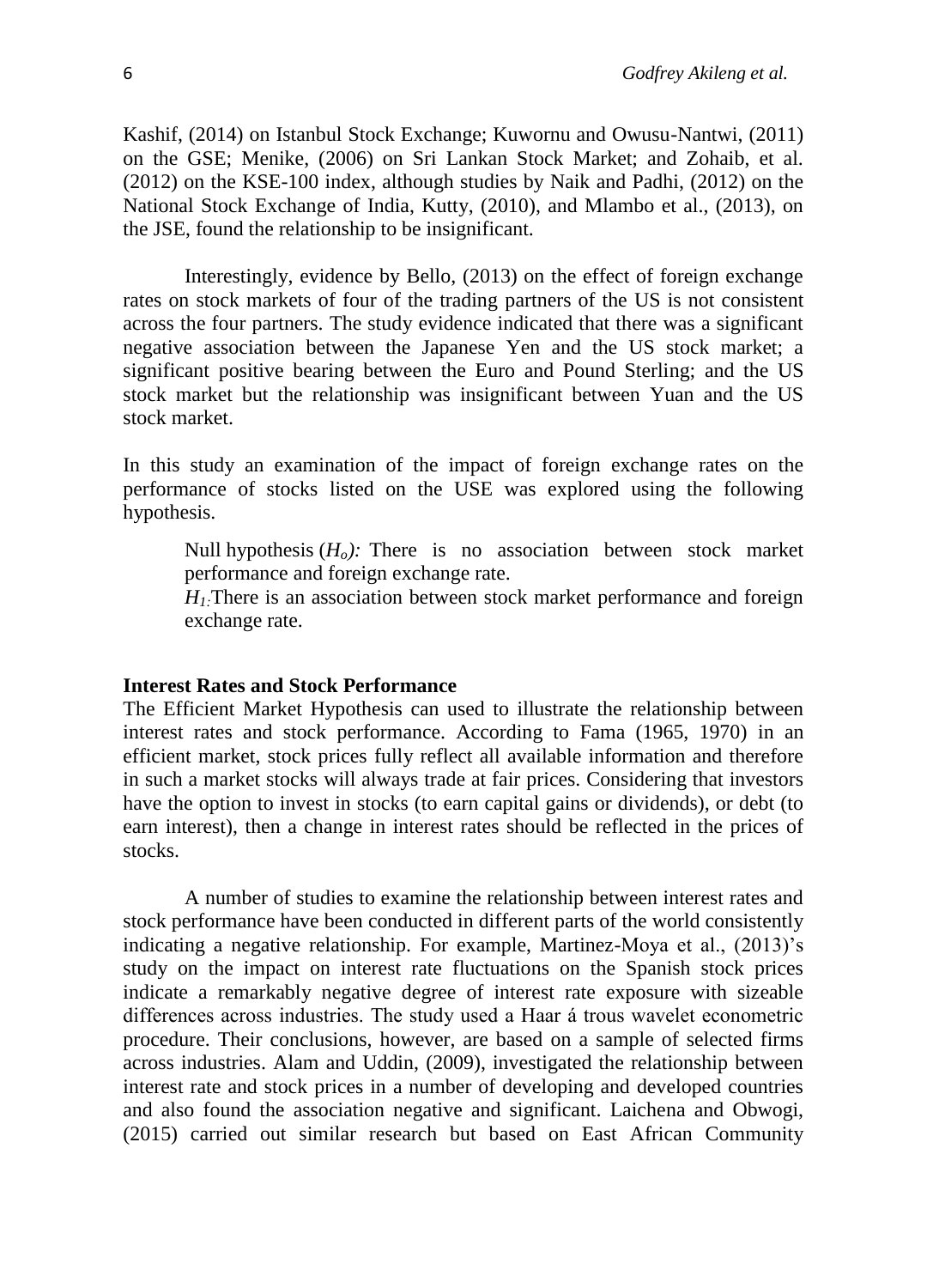Kashif, (2014) on Istanbul Stock Exchange; Kuwornu and Owusu-Nantwi, (2011) on the GSE; Menike, (2006) on Sri Lankan Stock Market; and Zohaib, et al. (2012) on the KSE-100 index, although studies by Naik and Padhi, (2012) on the National Stock Exchange of India, Kutty, (2010), and Mlambo et al., (2013), on the JSE, found the relationship to be insignificant.

Interestingly, evidence by Bello, (2013) on the effect of foreign exchange rates on stock markets of four of the trading partners of the US is not consistent across the four partners. The study evidence indicated that there was a significant negative association between the Japanese Yen and the US stock market; a significant positive bearing between the Euro and Pound Sterling; and the US stock market but the relationship was insignificant between Yuan and the US stock market.

In this study an examination of the impact of foreign exchange rates on the performance of stocks listed on the USE was explored using the following hypothesis.

Null hypothesis  $(H_o)$ : There is no association between stock market performance and foreign exchange rate.

*H1:*There is an association between stock market performance and foreign exchange rate.

#### **Interest Rates and Stock Performance**

The Efficient Market Hypothesis can used to illustrate the relationship between interest rates and stock performance. According to Fama (1965, 1970) in an efficient market, stock prices fully reflect all available information and therefore in such a market stocks will always trade at fair prices. Considering that investors have the option to invest in stocks (to earn capital gains or dividends), or debt (to earn interest), then a change in interest rates should be reflected in the prices of stocks.

A number of studies to examine the relationship between interest rates and stock performance have been conducted in different parts of the world consistently indicating a negative relationship. For example, Martinez-Moya et al., (2013)'s study on the impact on interest rate fluctuations on the Spanish stock prices indicate a remarkably negative degree of interest rate exposure with sizeable differences across industries. The study used a Haar á trous wavelet econometric procedure. Their conclusions, however, are based on a sample of selected firms across industries. Alam and Uddin, (2009), investigated the relationship between interest rate and stock prices in a number of developing and developed countries and also found the association negative and significant. Laichena and Obwogi, (2015) carried out similar research but based on East African Community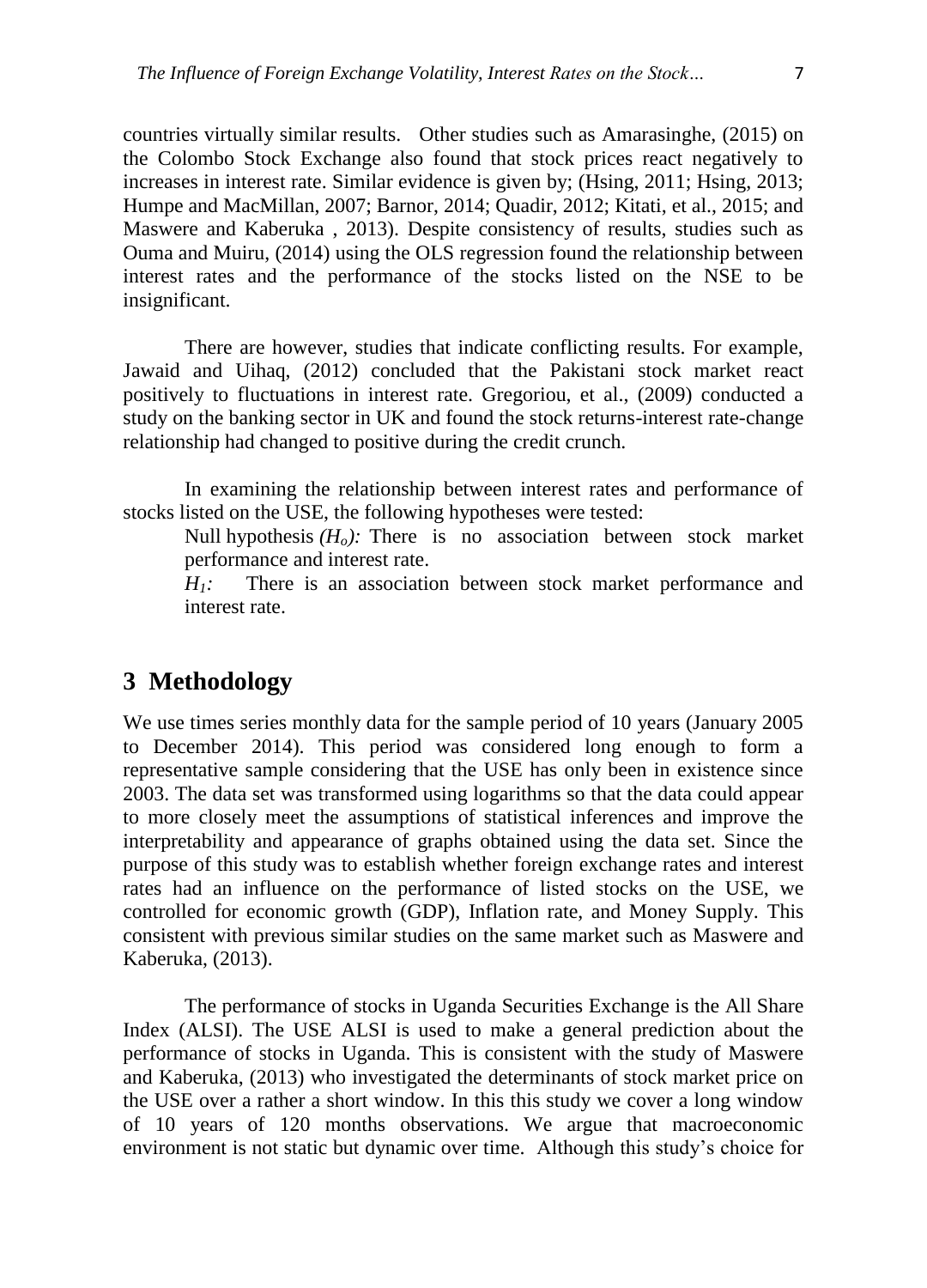countries virtually similar results. Other studies such as Amarasinghe, (2015) on the Colombo Stock Exchange also found that stock prices react negatively to increases in interest rate. Similar evidence is given by; (Hsing, 2011; Hsing, 2013; Humpe and MacMillan, 2007; Barnor, 2014; Quadir, 2012; Kitati, et al., 2015; and Maswere and Kaberuka , 2013). Despite consistency of results, studies such as Ouma and Muiru, (2014) using the OLS regression found the relationship between interest rates and the performance of the stocks listed on the NSE to be insignificant.

There are however, studies that indicate conflicting results. For example, Jawaid and Uihaq, (2012) concluded that the Pakistani stock market react positively to fluctuations in interest rate. Gregoriou, et al., (2009) conducted a study on the banking sector in UK and found the stock returns-interest rate-change relationship had changed to positive during the credit crunch.

In examining the relationship between interest rates and performance of stocks listed on the USE, the following hypotheses were tested:

Null hypothesis  $(H_0)$ : There is no association between stock market performance and interest rate.

*H1:* There is an association between stock market performance and interest rate.

## **3 Methodology**

We use times series monthly data for the sample period of 10 years (January 2005 to December 2014). This period was considered long enough to form a representative sample considering that the USE has only been in existence since 2003. The data set was transformed using logarithms so that the data could appear to more closely meet the assumptions of statistical inferences and improve the interpretability and appearance of graphs obtained using the data set. Since the purpose of this study was to establish whether foreign exchange rates and interest rates had an influence on the performance of listed stocks on the USE, we controlled for economic growth (GDP), Inflation rate, and Money Supply. This consistent with previous similar studies on the same market such as Maswere and Kaberuka, (2013).

The performance of stocks in Uganda Securities Exchange is the All Share Index (ALSI). The USE ALSI is used to make a general prediction about the performance of stocks in Uganda. This is consistent with the study of Maswere and Kaberuka, (2013) who investigated the determinants of stock market price on the USE over a rather a short window. In this this study we cover a long window of 10 years of 120 months observations. We argue that macroeconomic environment is not static but dynamic over time. Although this study's choice for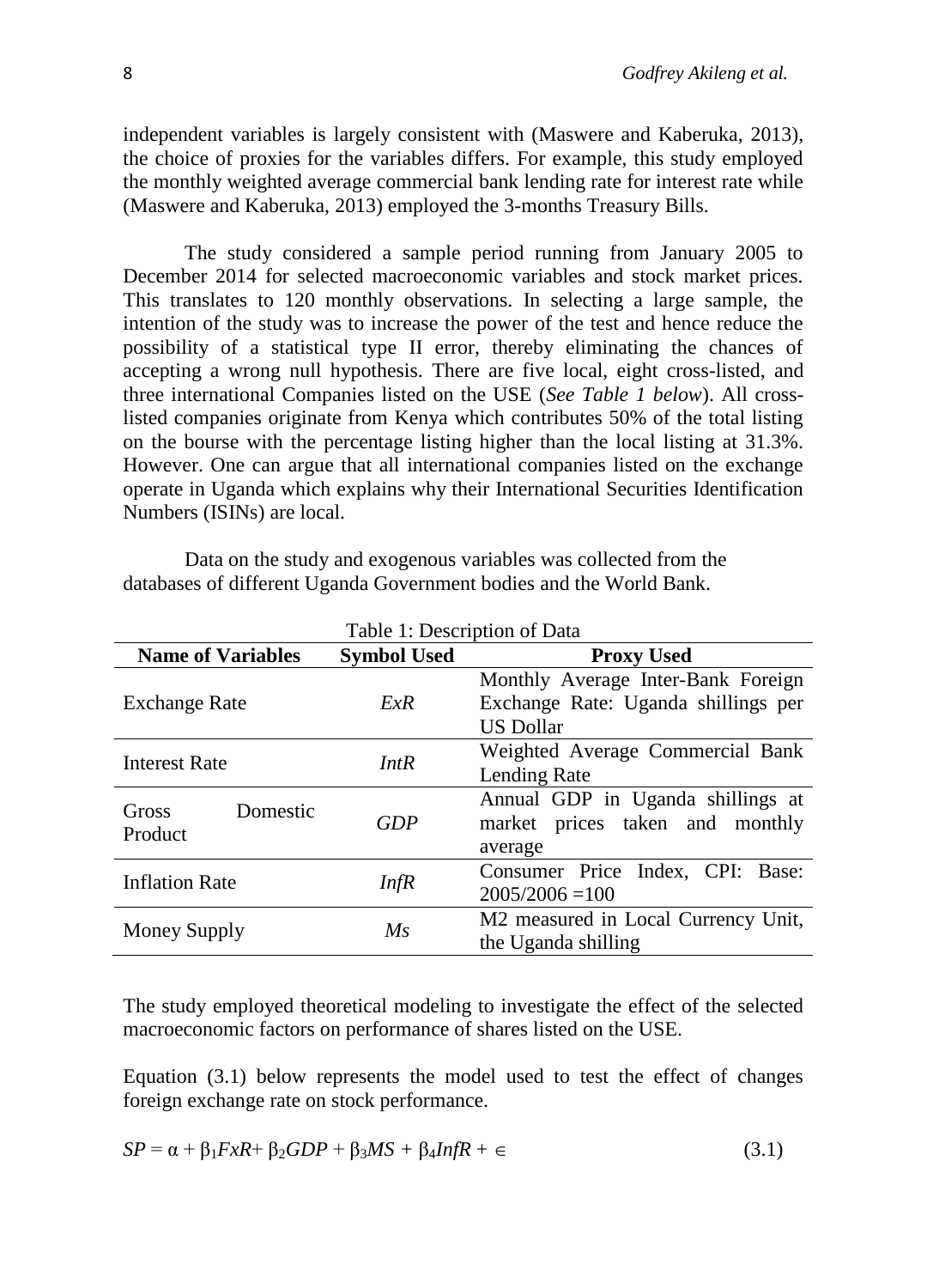independent variables is largely consistent with (Maswere and Kaberuka, 2013), the choice of proxies for the variables differs. For example, this study employed the monthly weighted average commercial bank lending rate for interest rate while (Maswere and Kaberuka, 2013) employed the 3-months Treasury Bills.

The study considered a sample period running from January 2005 to December 2014 for selected macroeconomic variables and stock market prices. This translates to 120 monthly observations. In selecting a large sample, the intention of the study was to increase the power of the test and hence reduce the possibility of a statistical type II error, thereby eliminating the chances of accepting a wrong null hypothesis. There are five local, eight cross-listed, and three international Companies listed on the USE (*See Table 1 below*). All crosslisted companies originate from Kenya which contributes 50% of the total listing on the bourse with the percentage listing higher than the local listing at 31.3%. However. One can argue that all international companies listed on the exchange operate in Uganda which explains why their International Securities Identification Numbers (ISINs) are local.

| Table 1: Description of Data |                    |                                                                                               |  |  |  |
|------------------------------|--------------------|-----------------------------------------------------------------------------------------------|--|--|--|
| <b>Name of Variables</b>     | <b>Symbol Used</b> | <b>Proxy Used</b>                                                                             |  |  |  |
| <b>Exchange Rate</b>         | ExR                | Monthly Average Inter-Bank Foreign<br>Exchange Rate: Uganda shillings per<br><b>US Dollar</b> |  |  |  |
| <b>Interest Rate</b>         | IntR               | Weighted Average Commercial Bank<br>Lending Rate                                              |  |  |  |
| Domestic<br>Gross<br>Product | GDP                | Annual GDP in Uganda shillings at<br>market prices taken and monthly<br>average               |  |  |  |
| <b>Inflation Rate</b><br>Inf |                    | Consumer Price Index, CPI: Base:<br>$2005/2006 = 100$                                         |  |  |  |
| Money Supply                 | $M_{S}$            | M2 measured in Local Currency Unit,<br>the Uganda shilling                                    |  |  |  |

Data on the study and exogenous variables was collected from the databases of different Uganda Government bodies and the World Bank.

The study employed theoretical modeling to investigate the effect of the selected macroeconomic factors on performance of shares listed on the USE.

Equation (3.1) below represents the model used to test the effect of changes foreign exchange rate on stock performance.

$$
SP = \alpha + \beta_1 F x R + \beta_2 GDP + \beta_3 MS + \beta_4 InfR + \epsilon \tag{3.1}
$$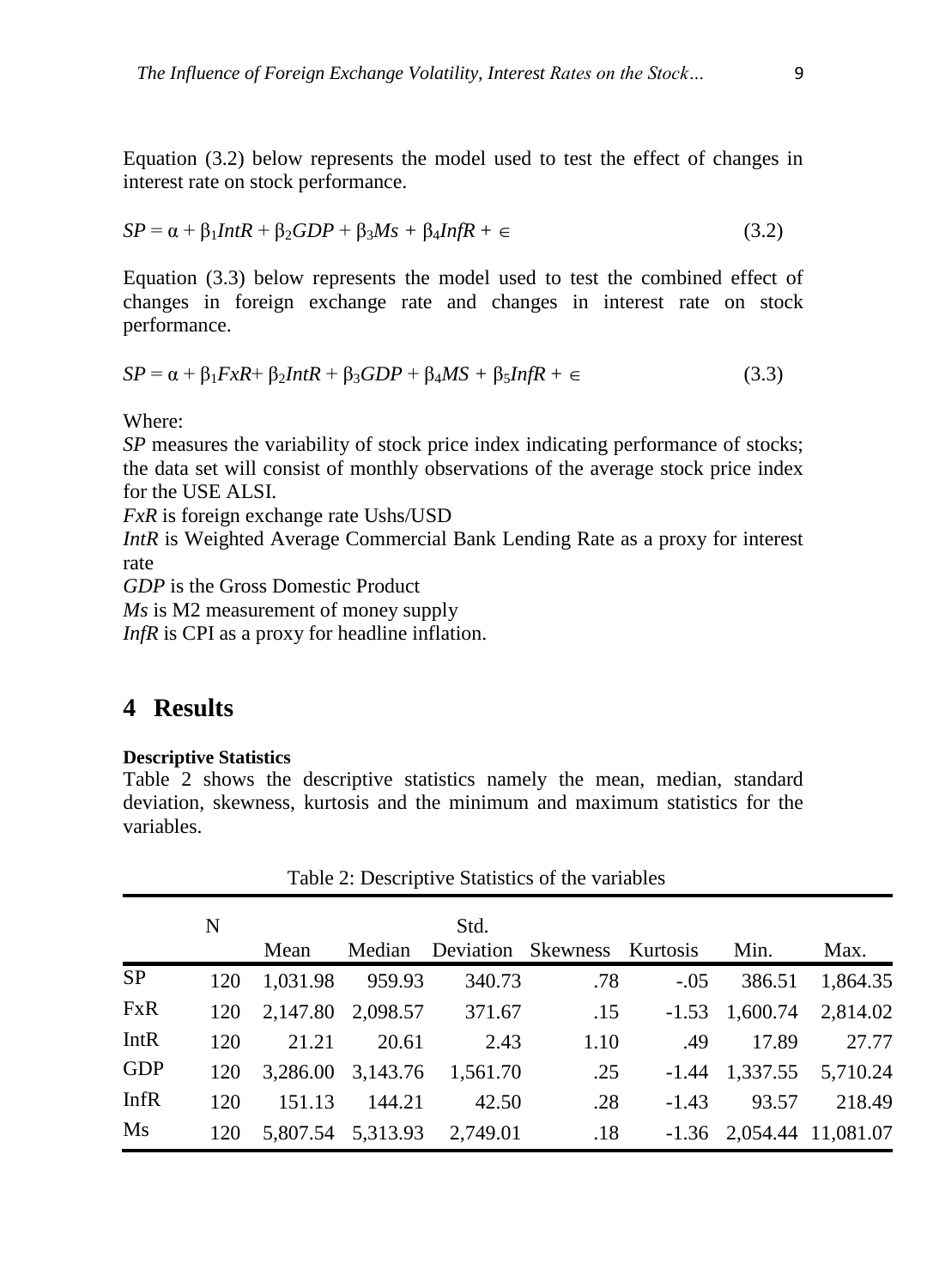Equation (3.2) below represents the model used to test the effect of changes in interest rate on stock performance.

$$
SP = \alpha + \beta_1 Int R + \beta_2 GDP + \beta_3 Ms + \beta_4 Inf R + \epsilon \tag{3.2}
$$

Equation (3.3) below represents the model used to test the combined effect of changes in foreign exchange rate and changes in interest rate on stock performance.

$$
SP = \alpha + \beta_1 F x R + \beta_2 Int R + \beta_3 GDP + \beta_4 MS + \beta_5 Inf R + \epsilon \tag{3.3}
$$

Where:

*SP* measures the variability of stock price index indicating performance of stocks; the data set will consist of monthly observations of the average stock price index for the USE ALSI.

*FxR* is foreign exchange rate Ushs/USD

*IntR* is Weighted Average Commercial Bank Lending Rate as a proxy for interest rate

*GDP* is the Gross Domestic Product

*Ms* is M2 measurement of money supply

*InfR* is CPI as a proxy for headline inflation.

### **4 Results**

### **Descriptive Statistics**

Table 2 shows the descriptive statistics namely the mean, median, standard deviation, skewness, kurtosis and the minimum and maximum statistics for the variables.

|            | N   |          | Std.   |                            |                             |         |                            |          |
|------------|-----|----------|--------|----------------------------|-----------------------------|---------|----------------------------|----------|
|            |     | Mean     | Median |                            | Deviation Skewness Kurtosis |         | Min.                       | Max.     |
| <b>SP</b>  | 120 | 1,031.98 | 959.93 | 340.73                     | .78                         | $-.05$  | 386.51                     | 1,864.35 |
| <b>FxR</b> | 120 |          |        | 2,147.80 2,098.57 371.67   | .15                         |         | $-1.53$ 1,600.74 2,814.02  |          |
| IntR       | 120 | 21.21    | 20.61  | 2.43                       | 1.10                        | .49     | 17.89                      | 27.77    |
| <b>GDP</b> | 120 |          |        | 3,286.00 3,143.76 1,561.70 | .25                         |         | $-1.44$ 1,337.55 5,710.24  |          |
| InfR       | 120 | 151.13   | 144.21 | 42.50                      | .28                         | $-1.43$ | 93.57                      | 218.49   |
| Ms         | 120 |          |        | 5,807.54 5,313.93 2,749.01 | .18                         |         | $-1.36$ 2,054.44 11,081.07 |          |

Table 2: Descriptive Statistics of the variables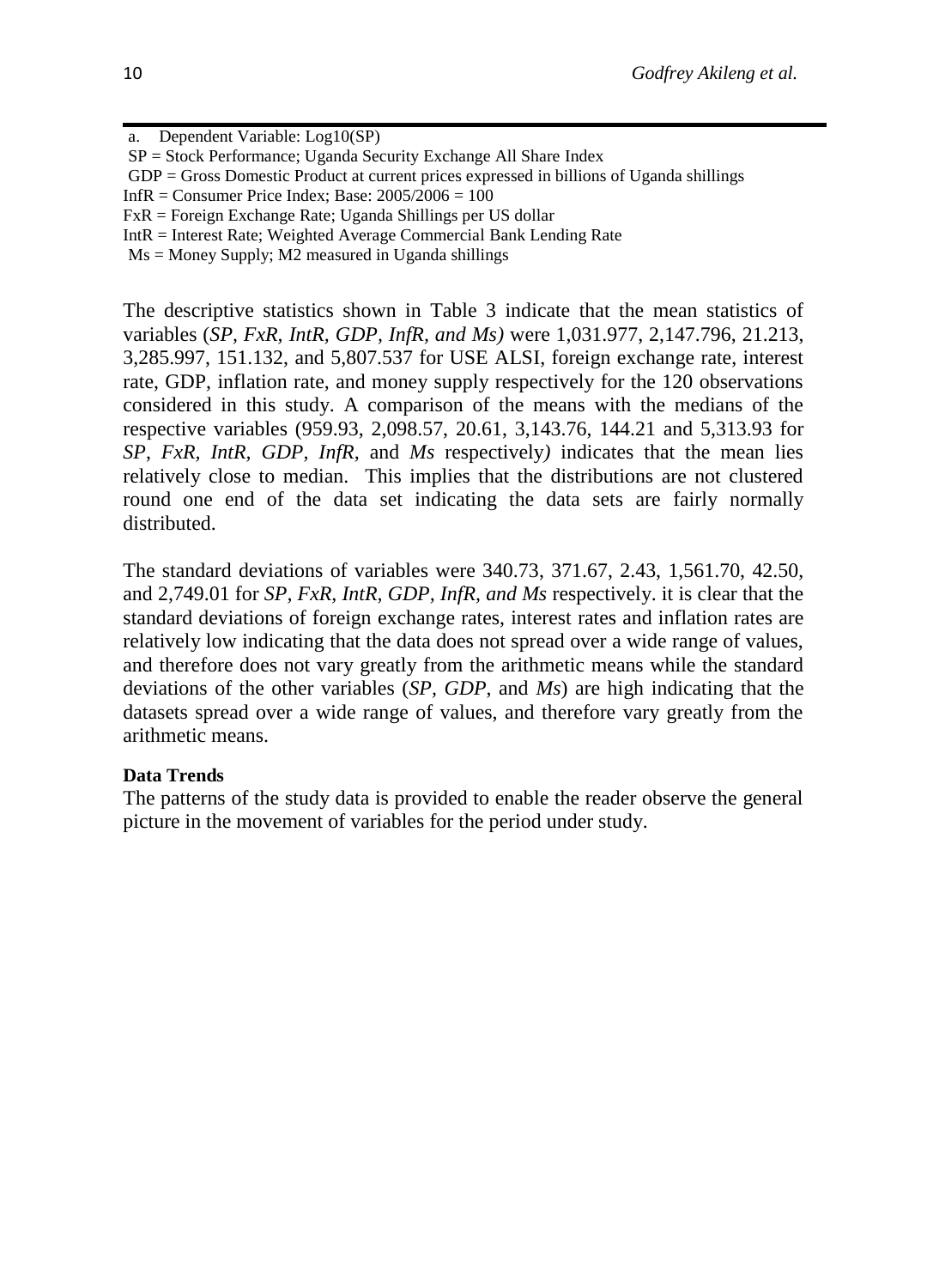- a. Dependent Variable: Log10(SP)
- SP = Stock Performance; Uganda Security Exchange All Share Index
- GDP = Gross Domestic Product at current prices expressed in billions of Uganda shillings
- Inf $R =$ Consumer Price Index; Base:  $2005/2006 = 100$
- FxR = Foreign Exchange Rate; Uganda Shillings per US dollar
- IntR = Interest Rate; Weighted Average Commercial Bank Lending Rate
- $Ms = Money$  Supply; M2 measured in Uganda shillings

The descriptive statistics shown in Table 3 indicate that the mean statistics of variables (*SP, FxR, IntR, GDP, InfR, and Ms)* were 1,031.977, 2,147.796, 21.213, 3,285.997, 151.132, and 5,807.537 for USE ALSI, foreign exchange rate, interest rate, GDP, inflation rate, and money supply respectively for the 120 observations considered in this study. A comparison of the means with the medians of the respective variables (959.93, 2,098.57, 20.61, 3,143.76, 144.21 and 5,313.93 for *SP*, *FxR, IntR, GDP, InfR,* and *Ms* respectively*)* indicates that the mean lies relatively close to median. This implies that the distributions are not clustered round one end of the data set indicating the data sets are fairly normally distributed.

The standard deviations of variables were 340.73, 371.67, 2.43, 1,561.70, 42.50, and 2,749.01 for *SP, FxR, IntR, GDP, InfR, and Ms* respectively. it is clear that the standard deviations of foreign exchange rates, interest rates and inflation rates are relatively low indicating that the data does not spread over a wide range of values, and therefore does not vary greatly from the arithmetic means while the standard deviations of the other variables (*SP, GDP*, and *Ms*) are high indicating that the datasets spread over a wide range of values, and therefore vary greatly from the arithmetic means.

#### **Data Trends**

The patterns of the study data is provided to enable the reader observe the general picture in the movement of variables for the period under study.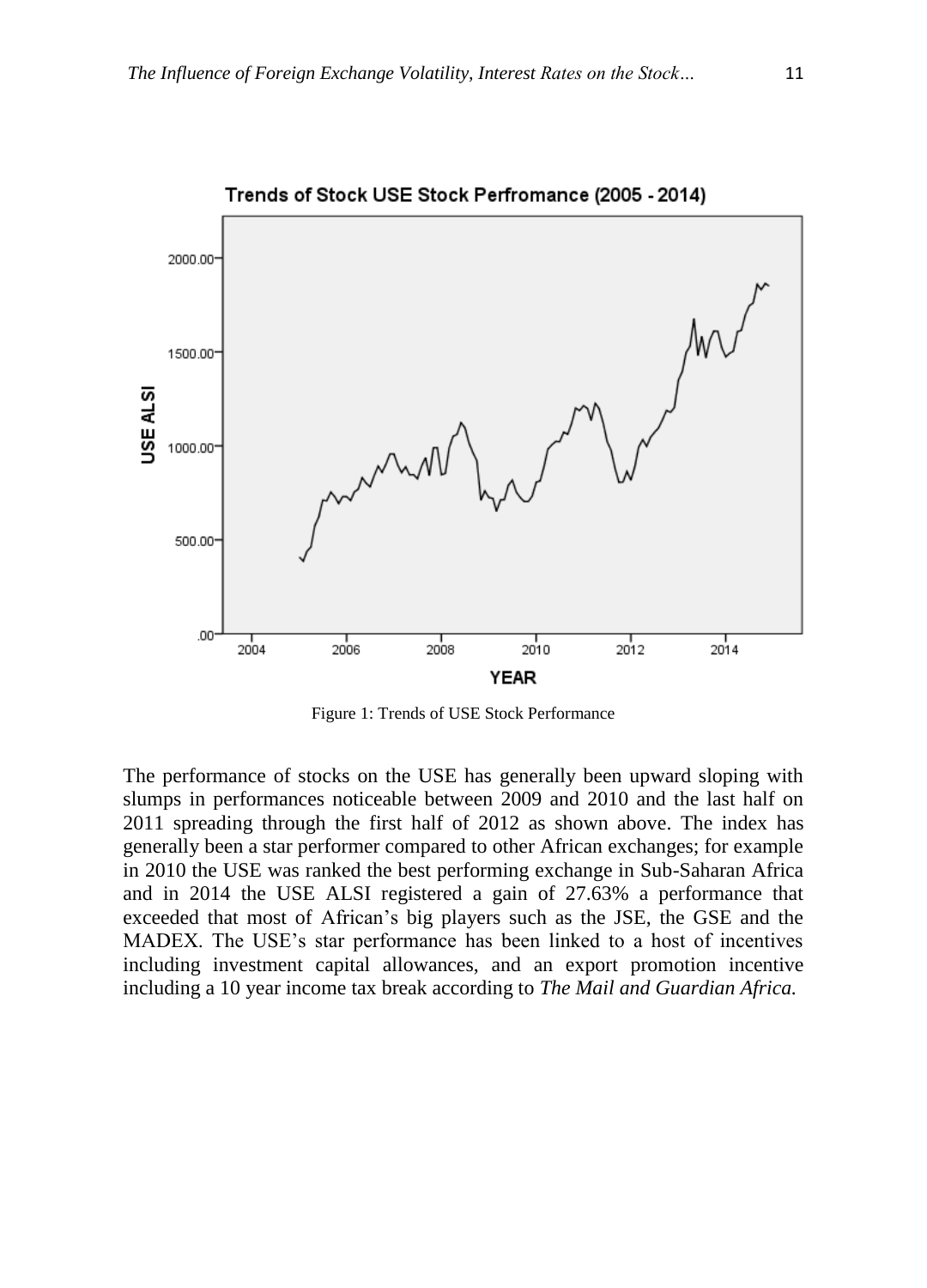

Figure 1: Trends of USE Stock Performance

The performance of stocks on the USE has generally been upward sloping with slumps in performances noticeable between 2009 and 2010 and the last half on 2011 spreading through the first half of 2012 as shown above. The index has generally been a star performer compared to other African exchanges; for example in 2010 the USE was ranked the best performing exchange in Sub-Saharan Africa and in 2014 the USE ALSI registered a gain of 27.63% a performance that exceeded that most of African's big players such as the JSE, the GSE and the MADEX. The USE's star performance has been linked to a host of incentives including investment capital allowances, and an export promotion incentive including a 10 year income tax break according to *The Mail and Guardian Africa.*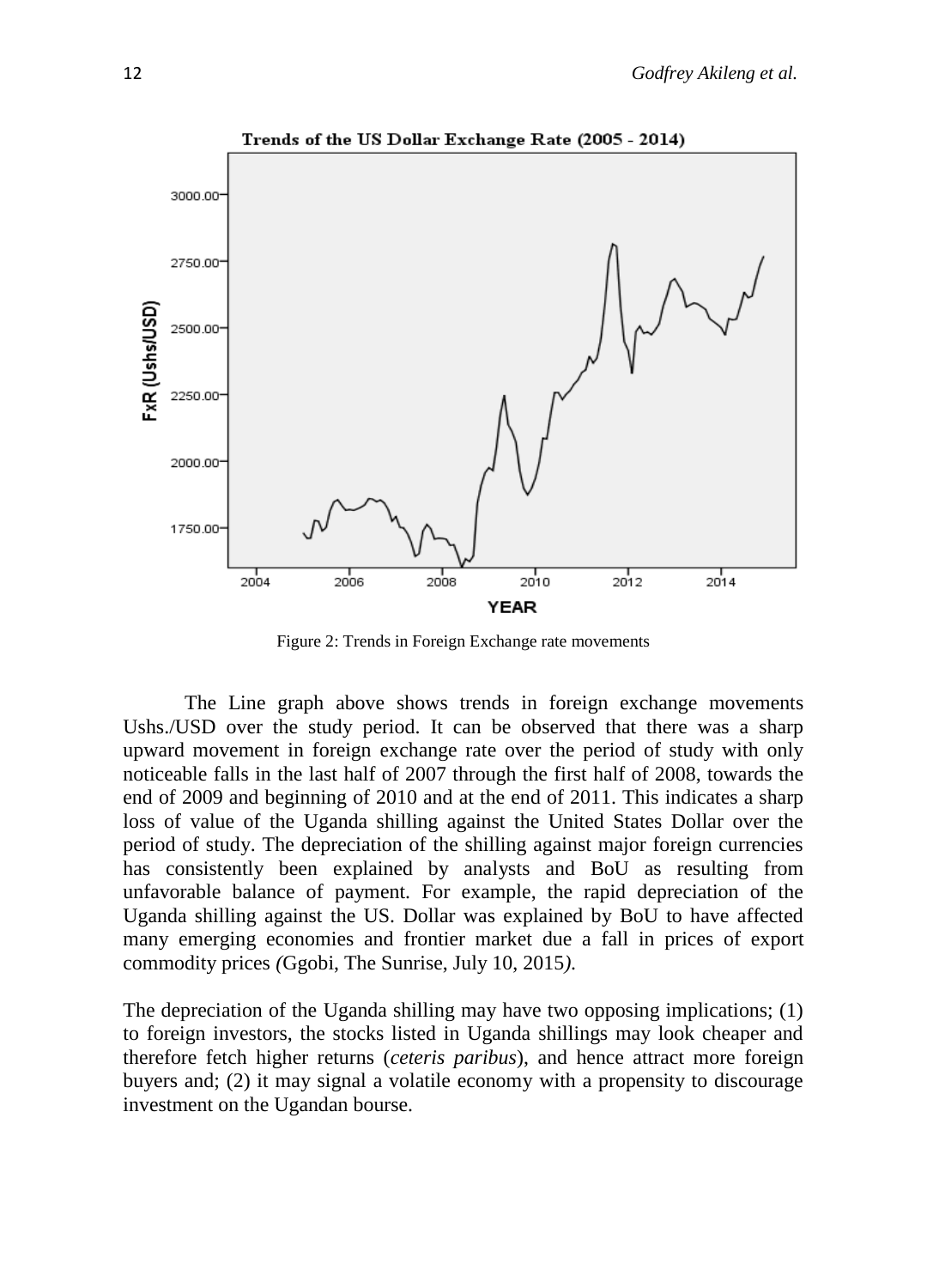

Figure 2: Trends in Foreign Exchange rate movements

The Line graph above shows trends in foreign exchange movements Ushs./USD over the study period. It can be observed that there was a sharp upward movement in foreign exchange rate over the period of study with only noticeable falls in the last half of 2007 through the first half of 2008, towards the end of 2009 and beginning of 2010 and at the end of 2011. This indicates a sharp loss of value of the Uganda shilling against the United States Dollar over the period of study. The depreciation of the shilling against major foreign currencies has consistently been explained by analysts and BoU as resulting from unfavorable balance of payment. For example, the rapid depreciation of the Uganda shilling against the US. Dollar was explained by BoU to have affected many emerging economies and frontier market due a fall in prices of export commodity prices *(*Ggobi, The Sunrise, July 10, 2015*)*.

The depreciation of the Uganda shilling may have two opposing implications; (1) to foreign investors, the stocks listed in Uganda shillings may look cheaper and therefore fetch higher returns (*ceteris paribus*), and hence attract more foreign buyers and; (2) it may signal a volatile economy with a propensity to discourage investment on the Ugandan bourse.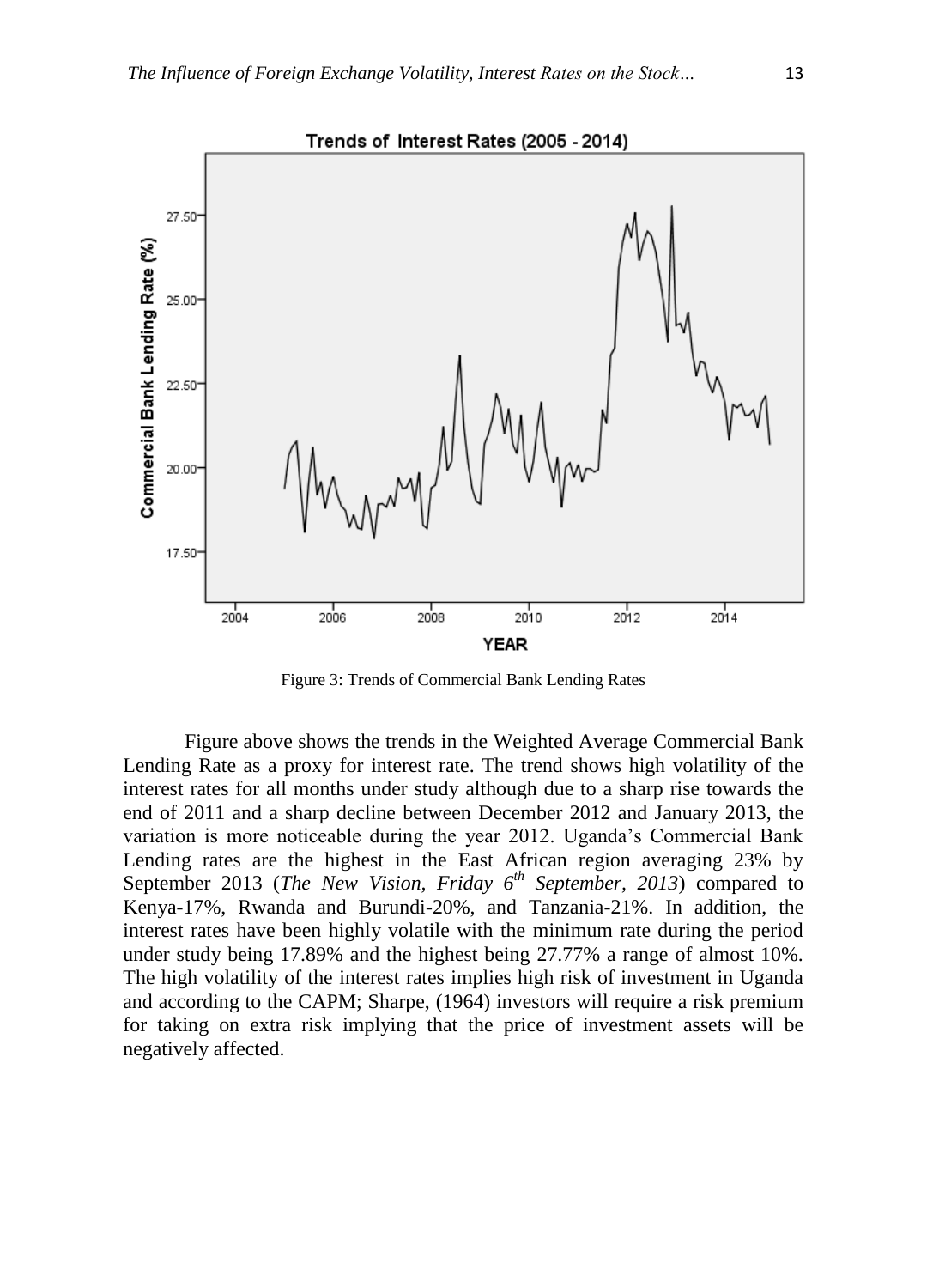

Figure 3: Trends of Commercial Bank Lending Rates

Figure above shows the trends in the Weighted Average Commercial Bank Lending Rate as a proxy for interest rate. The trend shows high volatility of the interest rates for all months under study although due to a sharp rise towards the end of 2011 and a sharp decline between December 2012 and January 2013, the variation is more noticeable during the year 2012. Uganda's Commercial Bank Lending rates are the highest in the East African region averaging 23% by September 2013 (*The New Vision, Friday 6th September, 2013*) compared to Kenya-17%, Rwanda and Burundi-20%, and Tanzania-21%. In addition, the interest rates have been highly volatile with the minimum rate during the period under study being 17.89% and the highest being 27.77% a range of almost 10%. The high volatility of the interest rates implies high risk of investment in Uganda and according to the CAPM; Sharpe, (1964) investors will require a risk premium for taking on extra risk implying that the price of investment assets will be negatively affected.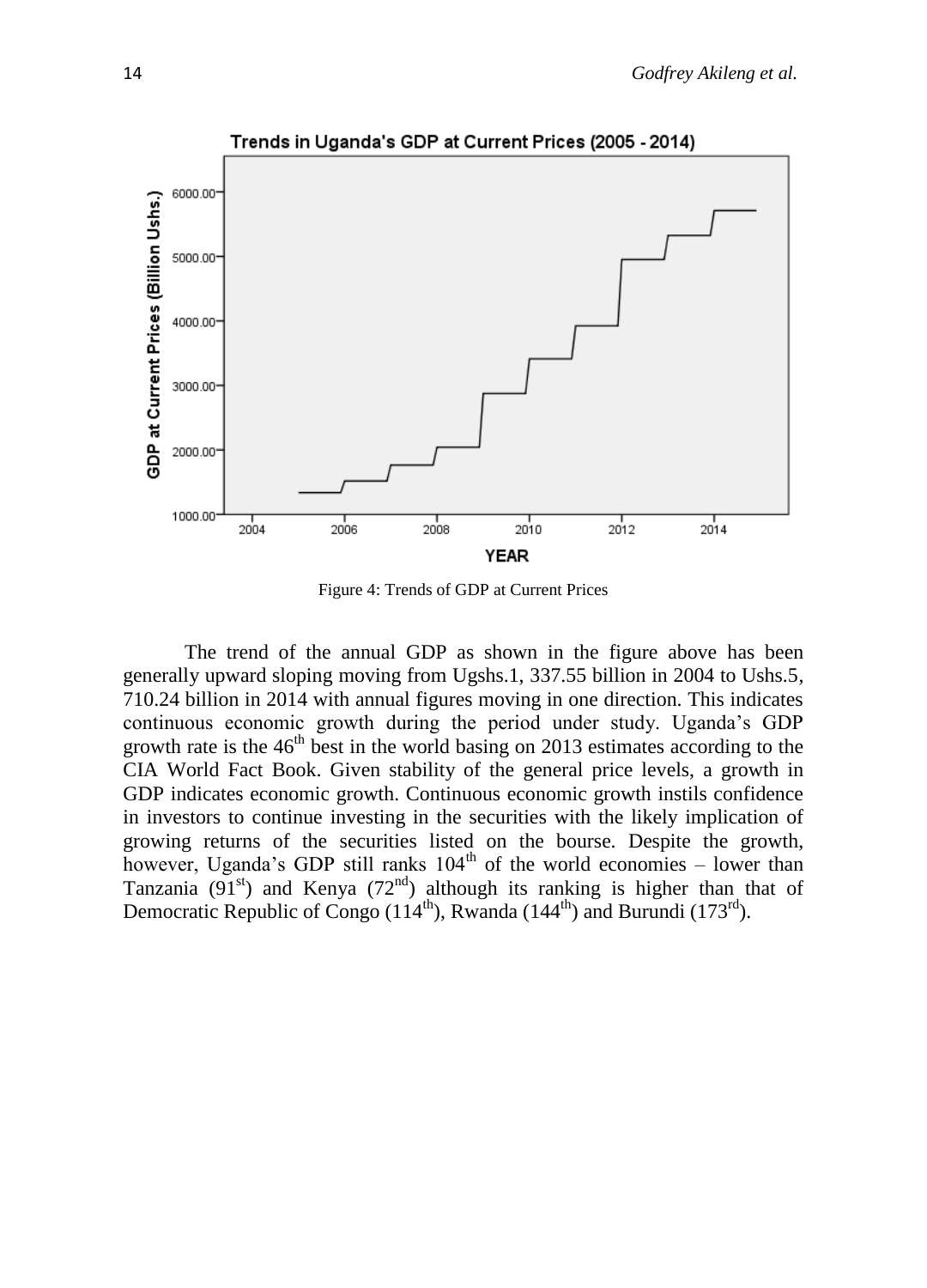

Figure 4: Trends of GDP at Current Prices

The trend of the annual GDP as shown in the figure above has been generally upward sloping moving from Ugshs.1, 337.55 billion in 2004 to Ushs.5, 710.24 billion in 2014 with annual figures moving in one direction. This indicates continuous economic growth during the period under study. Uganda's GDP growth rate is the  $46<sup>th</sup>$  best in the world basing on 2013 estimates according to the CIA World Fact Book. Given stability of the general price levels, a growth in GDP indicates economic growth. Continuous economic growth instils confidence in investors to continue investing in the securities with the likely implication of growing returns of the securities listed on the bourse. Despite the growth, however, Uganda's GDP still ranks  $104<sup>th</sup>$  of the world economies – lower than Tanzania  $(91<sup>st</sup>)$  and Kenya  $(72<sup>nd</sup>)$  although its ranking is higher than that of Democratic Republic of Congo  $(114<sup>th</sup>)$ , Rwanda  $(144<sup>th</sup>)$  and Burundi  $(173<sup>rd</sup>)$ .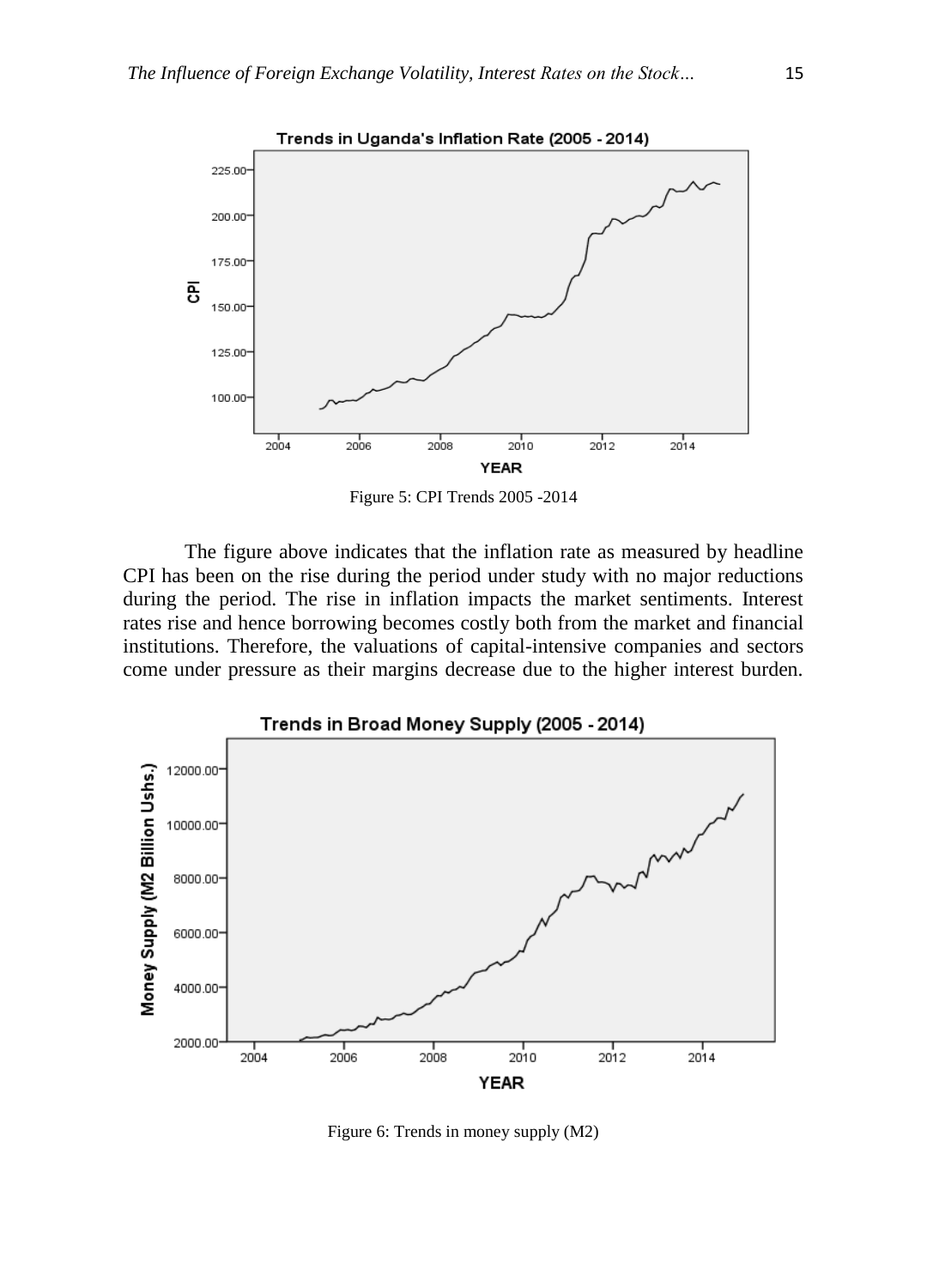

Figure 5: CPI Trends 2005 -2014

The figure above indicates that the inflation rate as measured by headline CPI has been on the rise during the period under study with no major reductions during the period. The rise in inflation impacts the market sentiments. Interest rates rise and hence borrowing becomes costly both from the market and financial institutions. Therefore, the valuations of capital-intensive companies and sectors come under pressure as their margins decrease due to the higher interest burden.



Figure 6: Trends in money supply (M2)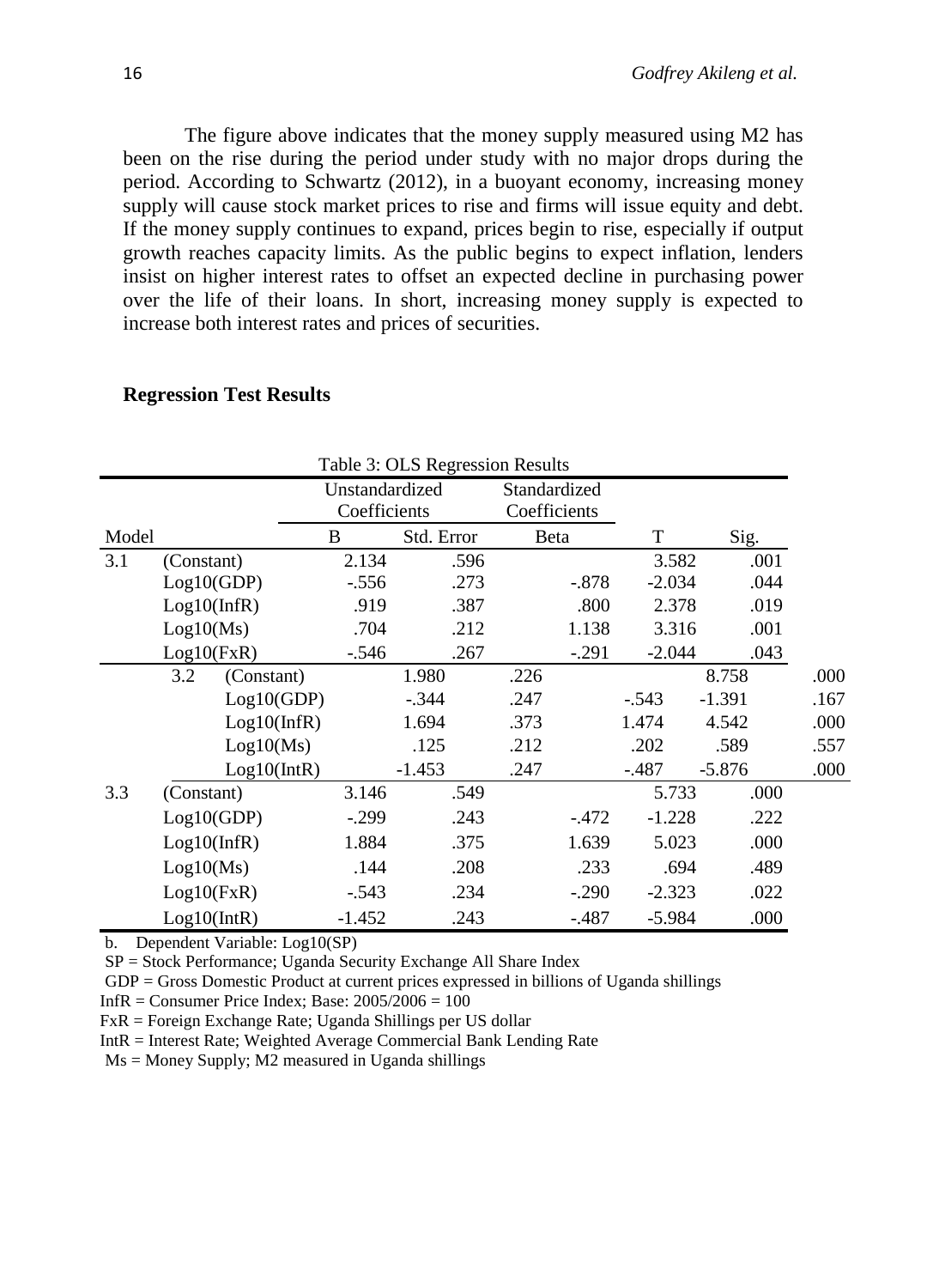The figure above indicates that the money supply measured using M2 has been on the rise during the period under study with no major drops during the period. According to Schwartz (2012), in a buoyant economy, increasing money supply will cause stock market prices to rise and firms will issue equity and debt. If the money supply continues to expand, prices begin to rise, especially if output growth reaches capacity limits. As the public begins to expect inflation, lenders insist on higher interest rates to offset an expected decline in purchasing power over the life of their loans. In short, increasing money supply is expected to increase both interest rates and prices of securities.

| Table 3: OLS Regression Results |             |             |                                |            |      |                              |          |          |      |
|---------------------------------|-------------|-------------|--------------------------------|------------|------|------------------------------|----------|----------|------|
|                                 |             |             | Unstandardized<br>Coefficients |            |      | Standardized<br>Coefficients |          |          |      |
| Model                           |             |             | B                              | Std. Error |      | Beta                         | T        | Sig.     |      |
| 3.1                             | (Constant)  |             | 2.134                          | .596       |      |                              | 3.582    | .001     |      |
|                                 | Log10(GDP)  |             | $-.556$                        | .273       |      | $-.878$                      | $-2.034$ | .044     |      |
|                                 | Log10(nfR)  |             | .919                           | .387       |      | .800                         | 2.378    | .019     |      |
|                                 | Log10(Ms)   |             | .704                           | .212       |      | 1.138                        | 3.316    | .001     |      |
|                                 | Log10(FxR)  |             | $-.546$                        | .267       |      | $-.291$                      | $-2.044$ | .043     |      |
|                                 | 3.2         | (Constant)  |                                | 1.980      | .226 |                              |          | 8.758    | .000 |
|                                 |             | Log10(GDP)  |                                | $-.344$    | .247 |                              | $-.543$  | $-1.391$ | .167 |
|                                 |             | Log10(nfR)  |                                | 1.694      | .373 |                              | 1.474    | 4.542    | .000 |
|                                 |             | Log10(Ms)   |                                | .125       | .212 |                              | .202     | .589     | .557 |
|                                 |             | Log10(intR) |                                | $-1.453$   | .247 |                              | $-.487$  | $-5.876$ | .000 |
| 3.3                             | (Constant)  |             | 3.146                          | .549       |      |                              | 5.733    | .000     |      |
|                                 | Log10(GDP)  |             | $-.299$                        | .243       |      | $-.472$                      | $-1.228$ | .222     |      |
|                                 | Log10(nfR)  |             | 1.884                          | .375       |      | 1.639                        | 5.023    | .000     |      |
|                                 | Log10(Ms)   |             | .144                           | .208       |      | .233                         | .694     | .489     |      |
|                                 | Log10(FxR)  |             | $-.543$                        | .234       |      | $-.290$                      | $-2.323$ | .022     |      |
|                                 | Log10(intR) |             | $-1.452$                       | .243       |      | $-487$                       | $-5.984$ | .000     |      |

#### **Regression Test Results**

b. Dependent Variable: Log10(SP)

SP = Stock Performance; Uganda Security Exchange All Share Index

GDP = Gross Domestic Product at current prices expressed in billions of Uganda shillings

Inf $R =$ Consumer Price Index; Base:  $2005/2006 = 100$ 

FxR = Foreign Exchange Rate; Uganda Shillings per US dollar

IntR = Interest Rate; Weighted Average Commercial Bank Lending Rate

 $Ms = Money$  Supply;  $M2$  measured in Uganda shillings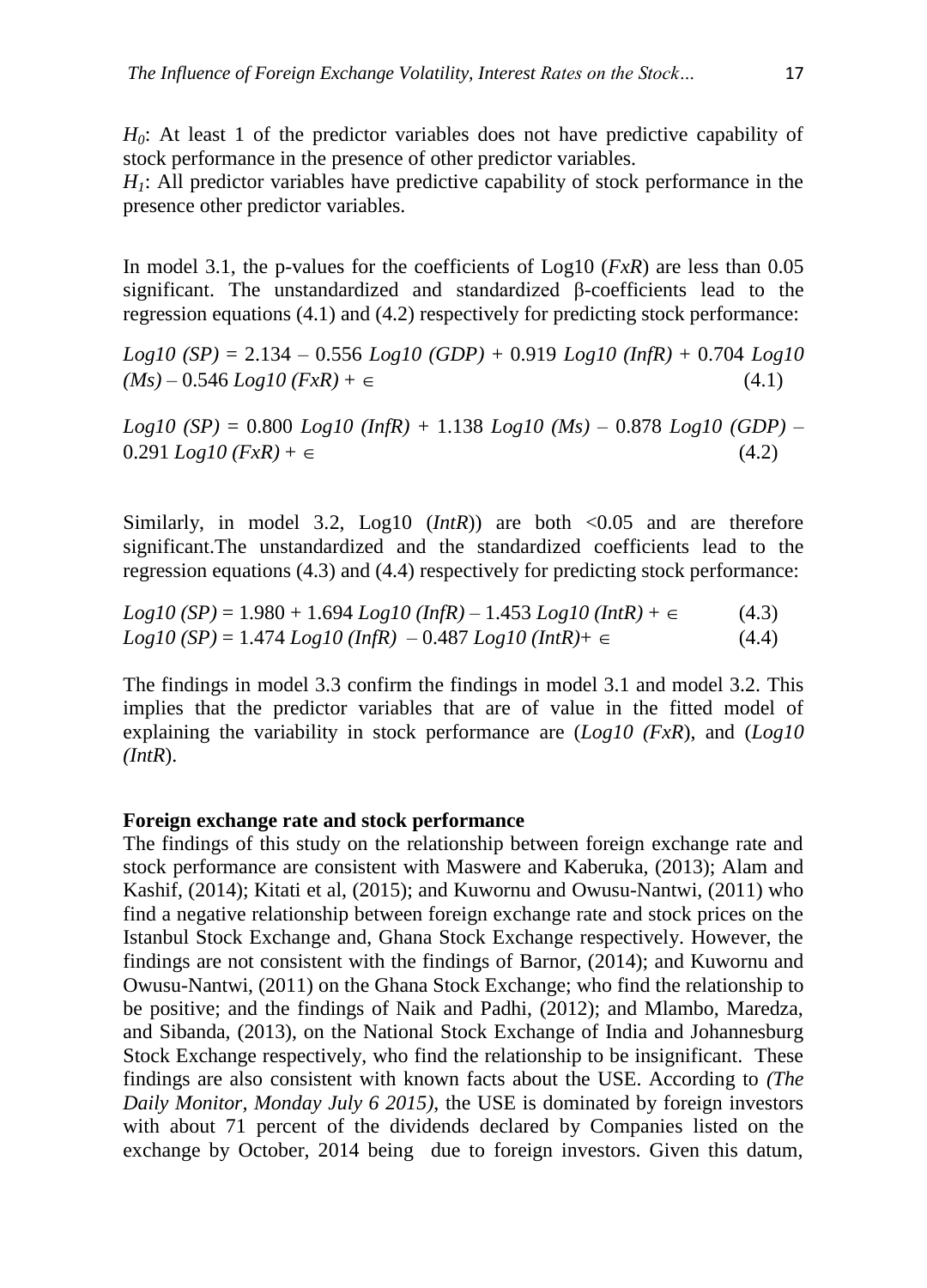*H0*: At least 1 of the predictor variables does not have predictive capability of stock performance in the presence of other predictor variables.

*H1*: All predictor variables have predictive capability of stock performance in the presence other predictor variables.

In model 3.1, the p-values for the coefficients of Log10 (*FxR*) are less than 0.05 significant. The unstandardized and standardized β-coefficients lead to the regression equations (4.1) and (4.2) respectively for predicting stock performance:

*Log10 (SP)* = 2.134 – 0.556 *Log10 (GDP)* + 0.919 *Log10 (InfR)* + 0.704 *Log10*   $(Ms) - 0.546 Log 10 (FxR) + \epsilon$  (4.1)

*Log10 (SP)* = 0.800 *Log10 (InfR)* + 1.138 *Log10 (Ms)* – 0.878 *Log10 (GDP)* –  $0.291$   $Log10$   $(FxR) + \epsilon$  (4.2)

Similarly, in model 3.2,  $Log10 (IntR)$  are both  $\langle 0.05$  and are therefore significant.The unstandardized and the standardized coefficients lead to the regression equations (4.3) and (4.4) respectively for predicting stock performance:

$$
Log10 (SP) = 1.980 + 1.694 Log10 (InfR) - 1.453 Log10 (InfR) + \epsilon
$$
 (4.3)  

$$
Log10 (SP) = 1.474 Log10 (InfR) - 0.487 Log10 (InfR) + \epsilon
$$
 (4.4)

The findings in model 3.3 confirm the findings in model 3.1 and model 3.2. This implies that the predictor variables that are of value in the fitted model of explaining the variability in stock performance are (*Log10 (FxR*), and (*Log10 (IntR*).

#### **Foreign exchange rate and stock performance**

The findings of this study on the relationship between foreign exchange rate and stock performance are consistent with Maswere and Kaberuka, (2013); Alam and Kashif, (2014); Kitati et al, (2015); and Kuwornu and Owusu-Nantwi, (2011) who find a negative relationship between foreign exchange rate and stock prices on the Istanbul Stock Exchange and, Ghana Stock Exchange respectively. However, the findings are not consistent with the findings of Barnor, (2014); and Kuwornu and Owusu-Nantwi, (2011) on the Ghana Stock Exchange; who find the relationship to be positive; and the findings of Naik and Padhi, (2012); and Mlambo, Maredza, and Sibanda, (2013), on the National Stock Exchange of India and Johannesburg Stock Exchange respectively, who find the relationship to be insignificant. These findings are also consistent with known facts about the USE. According to *(The Daily Monitor, Monday July 6 2015)*, the USE is dominated by foreign investors with about 71 percent of the dividends declared by Companies listed on the exchange by October, 2014 being due to foreign investors. Given this datum,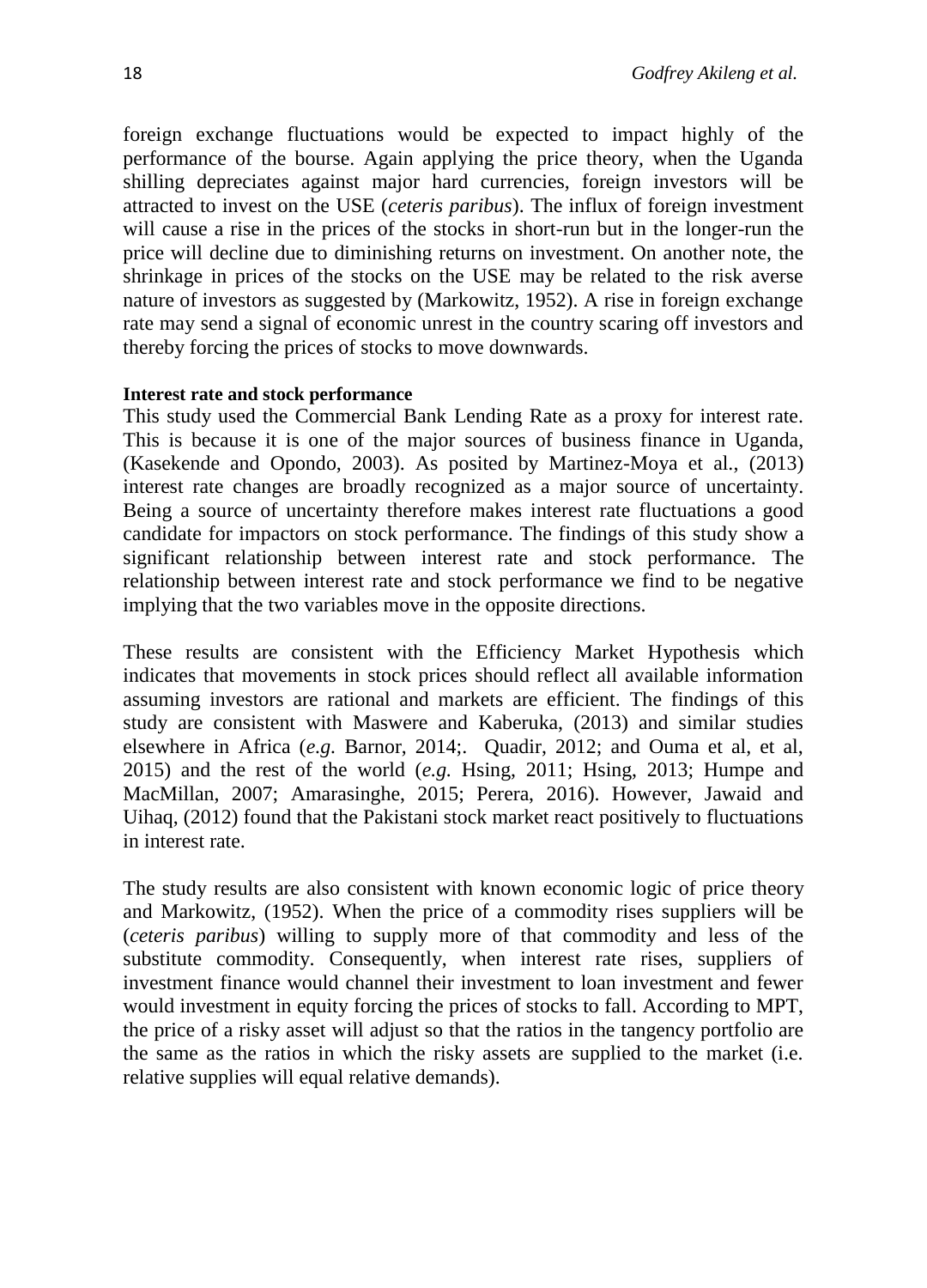foreign exchange fluctuations would be expected to impact highly of the performance of the bourse. Again applying the price theory, when the Uganda shilling depreciates against major hard currencies, foreign investors will be attracted to invest on the USE (*ceteris paribus*). The influx of foreign investment will cause a rise in the prices of the stocks in short-run but in the longer-run the price will decline due to diminishing returns on investment. On another note, the shrinkage in prices of the stocks on the USE may be related to the risk averse nature of investors as suggested by (Markowitz, 1952). A rise in foreign exchange rate may send a signal of economic unrest in the country scaring off investors and thereby forcing the prices of stocks to move downwards.

### **Interest rate and stock performance**

This study used the Commercial Bank Lending Rate as a proxy for interest rate. This is because it is one of the major sources of business finance in Uganda, (Kasekende and Opondo, 2003). As posited by Martinez-Moya et al., (2013) interest rate changes are broadly recognized as a major source of uncertainty. Being a source of uncertainty therefore makes interest rate fluctuations a good candidate for impactors on stock performance. The findings of this study show a significant relationship between interest rate and stock performance. The relationship between interest rate and stock performance we find to be negative implying that the two variables move in the opposite directions.

These results are consistent with the Efficiency Market Hypothesis which indicates that movements in stock prices should reflect all available information assuming investors are rational and markets are efficient. The findings of this study are consistent with Maswere and Kaberuka, (2013) and similar studies elsewhere in Africa (*e.g.* Barnor, 2014;. Quadir, 2012; and Ouma et al, et al, 2015) and the rest of the world (*e.g.* Hsing, 2011; Hsing, 2013; Humpe and MacMillan, 2007; Amarasinghe, 2015; Perera, 2016). However, Jawaid and Uihaq, (2012) found that the Pakistani stock market react positively to fluctuations in interest rate.

The study results are also consistent with known economic logic of price theory and Markowitz, (1952). When the price of a commodity rises suppliers will be (*ceteris paribus*) willing to supply more of that commodity and less of the substitute commodity. Consequently, when interest rate rises, suppliers of investment finance would channel their investment to loan investment and fewer would investment in equity forcing the prices of stocks to fall. According to MPT, the price of a risky asset will adjust so that the ratios in the tangency portfolio are the same as the ratios in which the risky assets are supplied to the market (i.e. relative supplies will equal relative demands).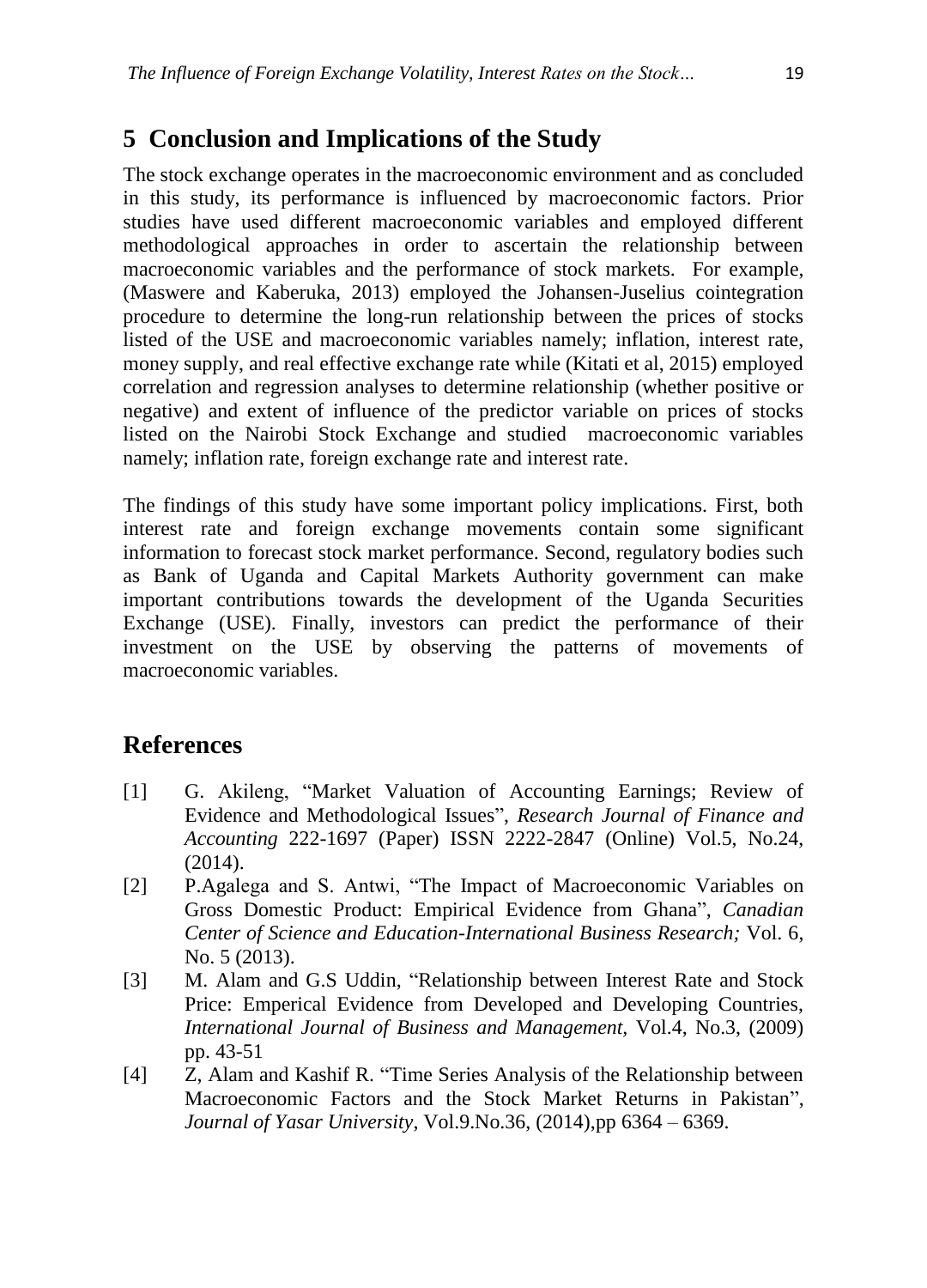# **5 Conclusion and Implications of the Study**

The stock exchange operates in the macroeconomic environment and as concluded in this study, its performance is influenced by macroeconomic factors. Prior studies have used different macroeconomic variables and employed different methodological approaches in order to ascertain the relationship between macroeconomic variables and the performance of stock markets. For example, (Maswere and Kaberuka, 2013) employed the Johansen-Juselius cointegration procedure to determine the long-run relationship between the prices of stocks listed of the USE and macroeconomic variables namely; inflation, interest rate, money supply, and real effective exchange rate while (Kitati et al, 2015) employed correlation and regression analyses to determine relationship (whether positive or negative) and extent of influence of the predictor variable on prices of stocks listed on the Nairobi Stock Exchange and studied macroeconomic variables namely; inflation rate, foreign exchange rate and interest rate.

The findings of this study have some important policy implications. First, both interest rate and foreign exchange movements contain some significant information to forecast stock market performance. Second, regulatory bodies such as Bank of Uganda and Capital Markets Authority government can make important contributions towards the development of the Uganda Securities Exchange (USE). Finally, investors can predict the performance of their investment on the USE by observing the patterns of movements of macroeconomic variables.

### **References**

- [1] G. Akileng, "Market Valuation of Accounting Earnings; Review of Evidence and Methodological Issues", *Research Journal of Finance and Accounting* 222-1697 (Paper) ISSN 2222-2847 (Online) Vol.5, No.24, (2014).
- [2] P.Agalega and S. Antwi, "The Impact of Macroeconomic Variables on Gross Domestic Product: Empirical Evidence from Ghana", *Canadian Center of Science and Education-International Business Research;* Vol. 6, No. 5 (2013).
- [3] M. Alam and G.S Uddin, "Relationship between Interest Rate and Stock Price: Emperical Evidence from Developed and Developing Countries, *International Journal of Business and Management,* Vol.4, No.3, (2009) pp. 43-51
- [4] Z, Alam and Kashif R. "Time Series Analysis of the Relationship between Macroeconomic Factors and the Stock Market Returns in Pakistan", *Journal of Yasar University*, Vol.9.No.36, (2014),pp 6364 – 6369.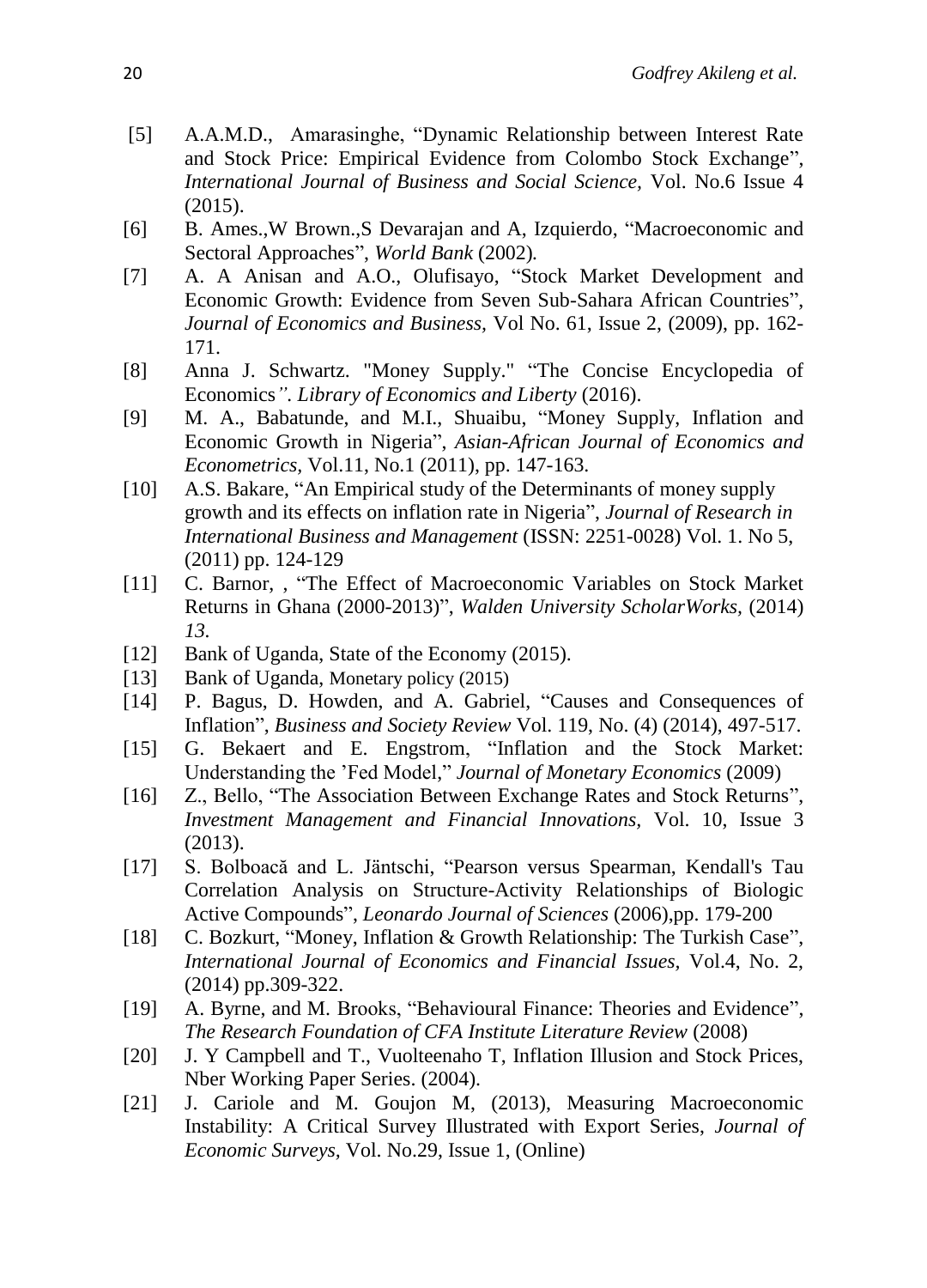- [5] A.A.M.D., Amarasinghe, "Dynamic Relationship between Interest Rate and Stock Price: Empirical Evidence from Colombo Stock Exchange", *International Journal of Business and Social Science,* Vol. No.6 Issue 4 (2015).
- [6] B. Ames.,W Brown.,S Devarajan and A, Izquierdo, "Macroeconomic and Sectoral Approaches", *World Bank* (2002)*.*
- [7] A. A Anisan and A.O., Olufisayo, "Stock Market Development and Economic Growth: Evidence from Seven Sub-Sahara African Countries", *Journal of Economics and Business,* Vol No. 61, Issue 2, (2009), pp. 162- 171.
- [8] Anna J. Schwartz. "Money Supply." "The Concise Encyclopedia of Economics*". Library of Economics and Liberty* (2016).
- [9] M. A., Babatunde, and M.I., Shuaibu, "Money Supply, Inflation and Economic Growth in Nigeria", *Asian-African Journal of Economics and Econometrics,* Vol.11, No.1 (2011), pp. 147-163.
- [10] A.S. Bakare, "An Empirical study of the Determinants of money supply growth and its effects on inflation rate in Nigeria", *Journal of Research in International Business and Management* (ISSN: 2251-0028) Vol. 1. No 5, (2011) pp. 124-129
- [11] C. Barnor, , "The Effect of Macroeconomic Variables on Stock Market Returns in Ghana (2000-2013)", *Walden University ScholarWorks,* (2014) *13.*
- [12] Bank of Uganda, State of the Economy (2015).
- [13] Bank of Uganda, Monetary policy (2015)
- [14] P. Bagus, D. Howden, and A. Gabriel, "Causes and Consequences of Inflation", *Business and Society Review* Vol. 119, No. (4) (2014), 497-517.
- [15] G. Bekaert and E. Engstrom, "Inflation and the Stock Market: Understanding the 'Fed Model," *Journal of Monetary Economics* (2009)
- [16] Z., Bello, "The Association Between Exchange Rates and Stock Returns", *Investment Management and Financial Innovations,* Vol. 10, Issue 3 (2013).
- [17] S. Bolboacă and L. Jäntschi, "Pearson versus Spearman, Kendall's Tau Correlation Analysis on Structure-Activity Relationships of Biologic Active Compounds", *Leonardo Journal of Sciences* (2006),pp. 179-200
- [18] C. Bozkurt, "Money, Inflation & Growth Relationship: The Turkish Case", *International Journal of Economics and Financial Issues,* Vol.4, No. 2, (2014) pp.309-322.
- [19] A. Byrne, and M. Brooks, "Behavioural Finance: Theories and Evidence", *The Research Foundation of CFA Institute Literature Review* (2008)
- [20] J. Y Campbell and T., Vuolteenaho T, Inflation Illusion and Stock Prices, Nber Working Paper Series. (2004).
- [21] J. Cariole and M. Goujon M, (2013), Measuring Macroeconomic Instability: A Critical Survey Illustrated with Export Series, *Journal of Economic Surveys,* Vol. No.29, Issue 1, (Online)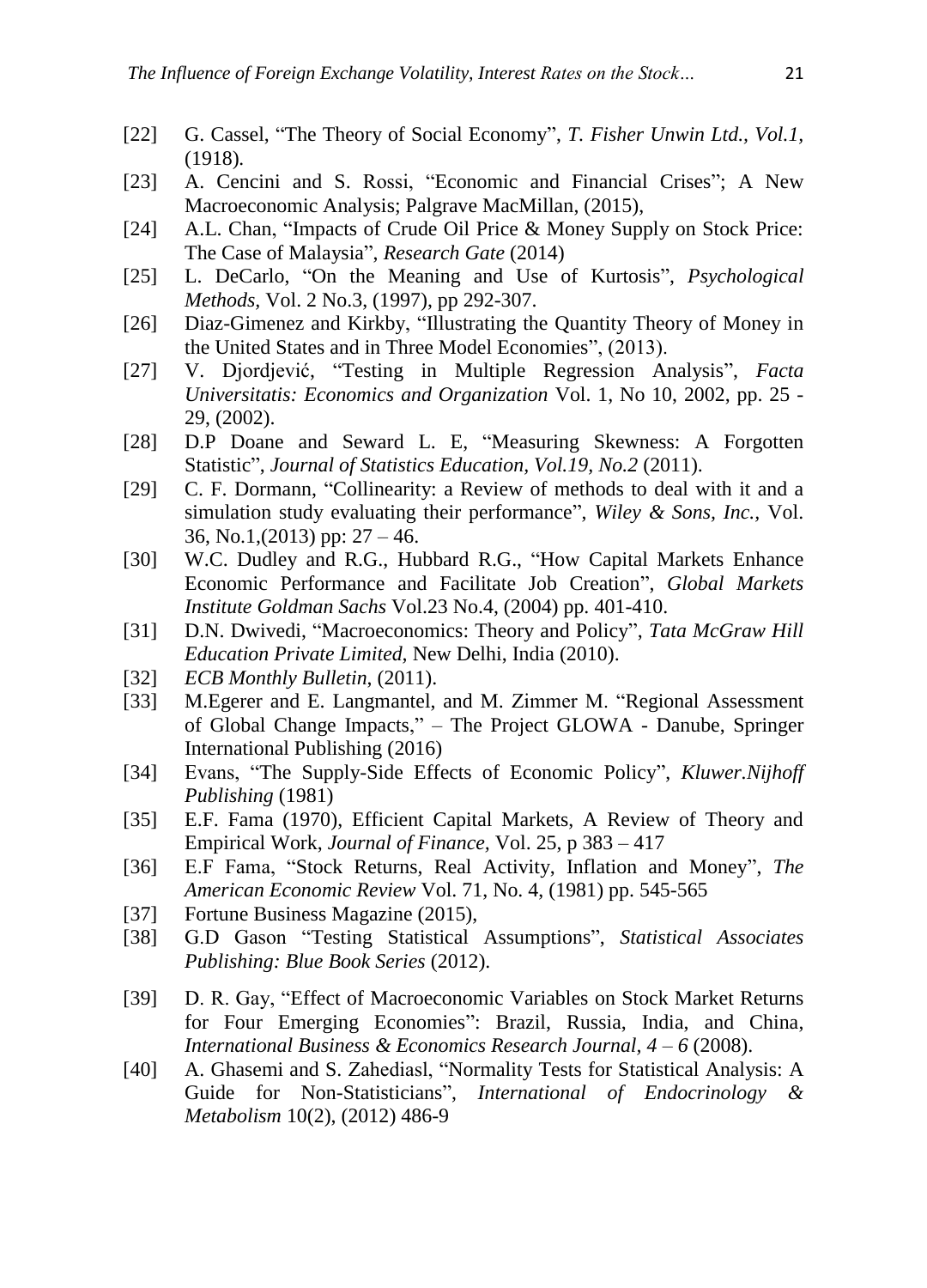- [22] G. Cassel, "The Theory of Social Economy", *T. Fisher Unwin Ltd., Vol.1,* (1918)*.*
- [23] A. Cencini and S. Rossi, "Economic and Financial Crises"; A New Macroeconomic Analysis; Palgrave MacMillan, (2015),
- [24] A.L. Chan, "Impacts of Crude Oil Price & Money Supply on Stock Price: The Case of Malaysia", *Research Gate* (2014)
- [25] L. DeCarlo, "On the Meaning and Use of Kurtosis", *Psychological Methods,* Vol. 2 No.3, (1997), pp 292-307.
- [26] Diaz-Gimenez and Kirkby, "Illustrating the Quantity Theory of Money in the United States and in Three Model Economies", (2013).
- [27] V. Djordjević, "Testing in Multiple Regression Analysis", *Facta Universitatis: Economics and Organization* Vol. 1, No 10, 2002, pp. 25 - 29, (2002).
- [28] D.P Doane and Seward L. E, "Measuring Skewness: A Forgotten Statistic", *Journal of Statistics Education, Vol.19, No.2* (2011).
- [29] C. F. Dormann, "Collinearity: a Review of methods to deal with it and a simulation study evaluating their performance", *Wiley & Sons, Inc.,* Vol. 36, No.1,  $(2013)$  pp:  $27 - 46$ .
- [30] W.C. Dudley and R.G., Hubbard R.G., "How Capital Markets Enhance Economic Performance and Facilitate Job Creation", *Global Markets Institute Goldman Sachs* Vol.23 No.4, (2004) pp. 401-410.
- [31] D.N. Dwivedi, "Macroeconomics: Theory and Policy", *Tata McGraw Hill Education Private Limited,* New Delhi, India (2010).
- [32] *ECB Monthly Bulletin*, (2011).
- [33] M.Egerer and E. Langmantel, and M. Zimmer M. "Regional Assessment of Global Change Impacts," – The Project GLOWA - Danube, Springer International Publishing (2016)
- [34] Evans, "The Supply-Side Effects of Economic Policy", *Kluwer.Nijhoff Publishing* (1981)
- [35] E.F. Fama (1970), Efficient Capital Markets, A Review of Theory and Empirical Work, *Journal of Finance,* Vol. 25, p 383 – 417
- [36] E.F Fama, "Stock Returns, Real Activity, Inflation and Money", *The American Economic Review* Vol. 71, No. 4, (1981) pp. 545-565
- [37] Fortune Business Magazine (2015),
- [38] G.D Gason "Testing Statistical Assumptions", *Statistical Associates Publishing: Blue Book Series* (2012).
- [39] D. R. Gay, "Effect of Macroeconomic Variables on Stock Market Returns for Four Emerging Economies": Brazil, Russia, India, and China, *International Business & Economics Research Journal, 4 – 6* (2008).
- [40] A. Ghasemi and S. Zahediasl, "Normality Tests for Statistical Analysis: A Guide for Non-Statisticians", *International of Endocrinology & Metabolism* 10(2), (2012) 486-9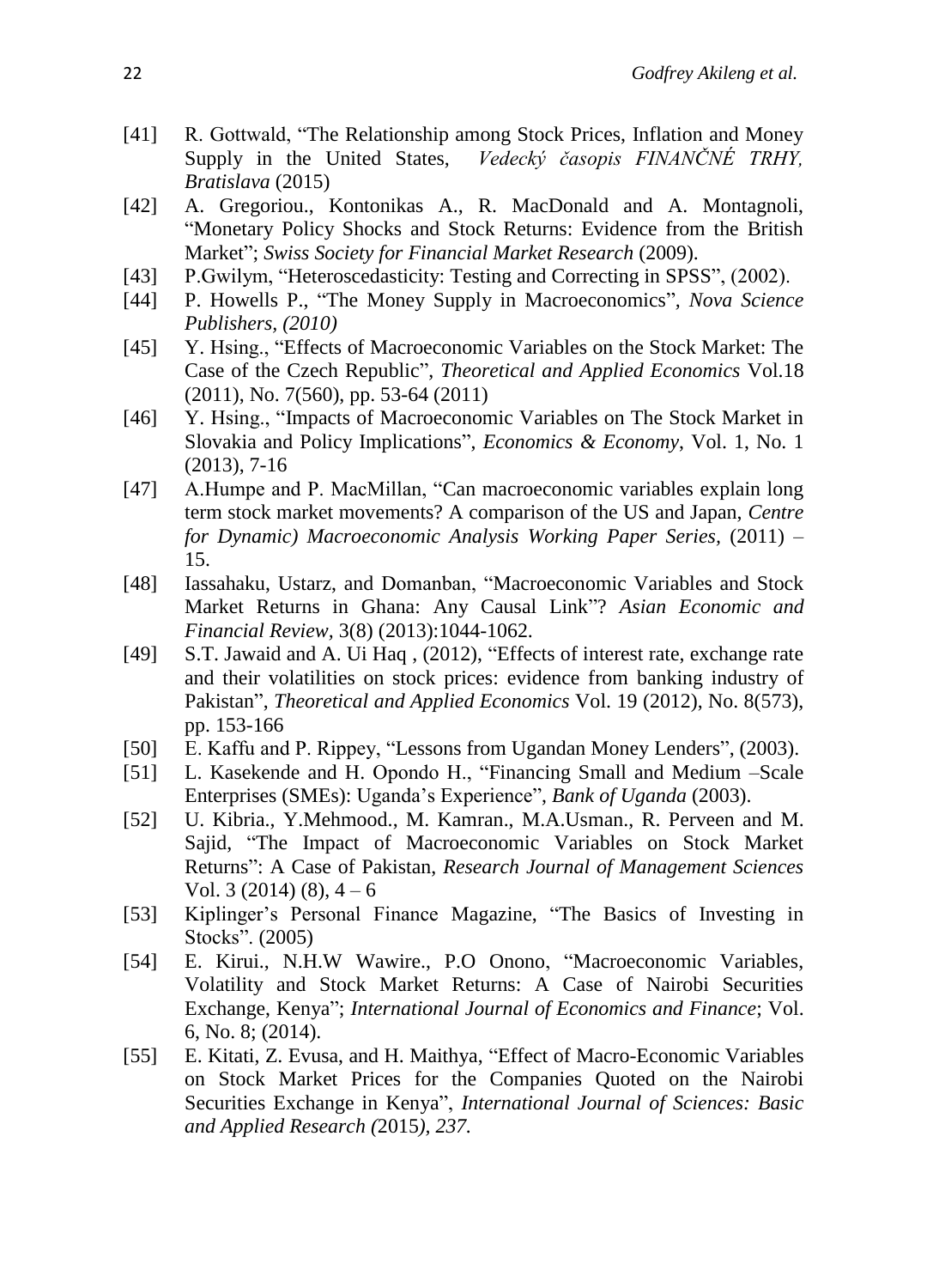- [41] R. Gottwald, "The Relationship among Stock Prices, Inflation and Money Supply in the United States, *Vedecký časopis FINANČNÉ TRHY, Bratislava* (2015)
- [42] A. Gregoriou., Kontonikas A., R. MacDonald and A. Montagnoli, "Monetary Policy Shocks and Stock Returns: Evidence from the British Market"; *Swiss Society for Financial Market Research* (2009).
- [43] P.Gwilym, "Heteroscedasticity: Testing and Correcting in SPSS", (2002).
- [44] P. Howells P., "The Money Supply in Macroeconomics"*, Nova Science Publishers, (2010)*
- [45] Y. Hsing., "Effects of Macroeconomic Variables on the Stock Market: The Case of the Czech Republic", *Theoretical and Applied Economics* Vol.18 (2011), No. 7(560), pp. 53-64 (2011)
- [46] Y. Hsing., "Impacts of Macroeconomic Variables on The Stock Market in Slovakia and Policy Implications", *Economics & Economy*, Vol. 1, No. 1 (2013), 7-16
- [47] A.Humpe and P. MacMillan, "Can macroeconomic variables explain long term stock market movements? A comparison of the US and Japan, *Centre for Dynamic) Macroeconomic Analysis Working Paper Series,* (2011) – 15.
- [48] Iassahaku, Ustarz, and Domanban, "Macroeconomic Variables and Stock Market Returns in Ghana: Any Causal Link"? *Asian Economic and Financial Review,* 3(8) (2013):1044-1062.
- [49] S.T. Jawaid and A. Ui Haq, (2012), "Effects of interest rate, exchange rate and their volatilities on stock prices: evidence from banking industry of Pakistan", *Theoretical and Applied Economics* Vol. 19 (2012), No. 8(573), pp. 153-166
- [50] E. Kaffu and P. Rippey, "Lessons from Ugandan Money Lenders", (2003).
- [51] L. Kasekende and H. Opondo H., "Financing Small and Medium –Scale Enterprises (SMEs): Uganda's Experience", *Bank of Uganda* (2003).
- [52] U. Kibria., Y.Mehmood., M. Kamran., M.A.Usman., R. Perveen and M. Sajid, "The Impact of Macroeconomic Variables on Stock Market Returns": A Case of Pakistan, *Research Journal of Management Sciences* Vol. 3 (2014) (8),  $4-6$
- [53] Kiplinger's Personal Finance Magazine, "The Basics of Investing in Stocks". (2005)
- [54] E. Kirui., N.H.W Wawire., P.O Onono, "Macroeconomic Variables, Volatility and Stock Market Returns: A Case of Nairobi Securities Exchange, Kenya"; *International Journal of Economics and Finance*; Vol. 6, No. 8; (2014).
- [55] E. Kitati, Z. Evusa, and H. Maithya, "Effect of Macro-Economic Variables on Stock Market Prices for the Companies Quoted on the Nairobi Securities Exchange in Kenya", *International Journal of Sciences: Basic and Applied Research (*2015*), 237.*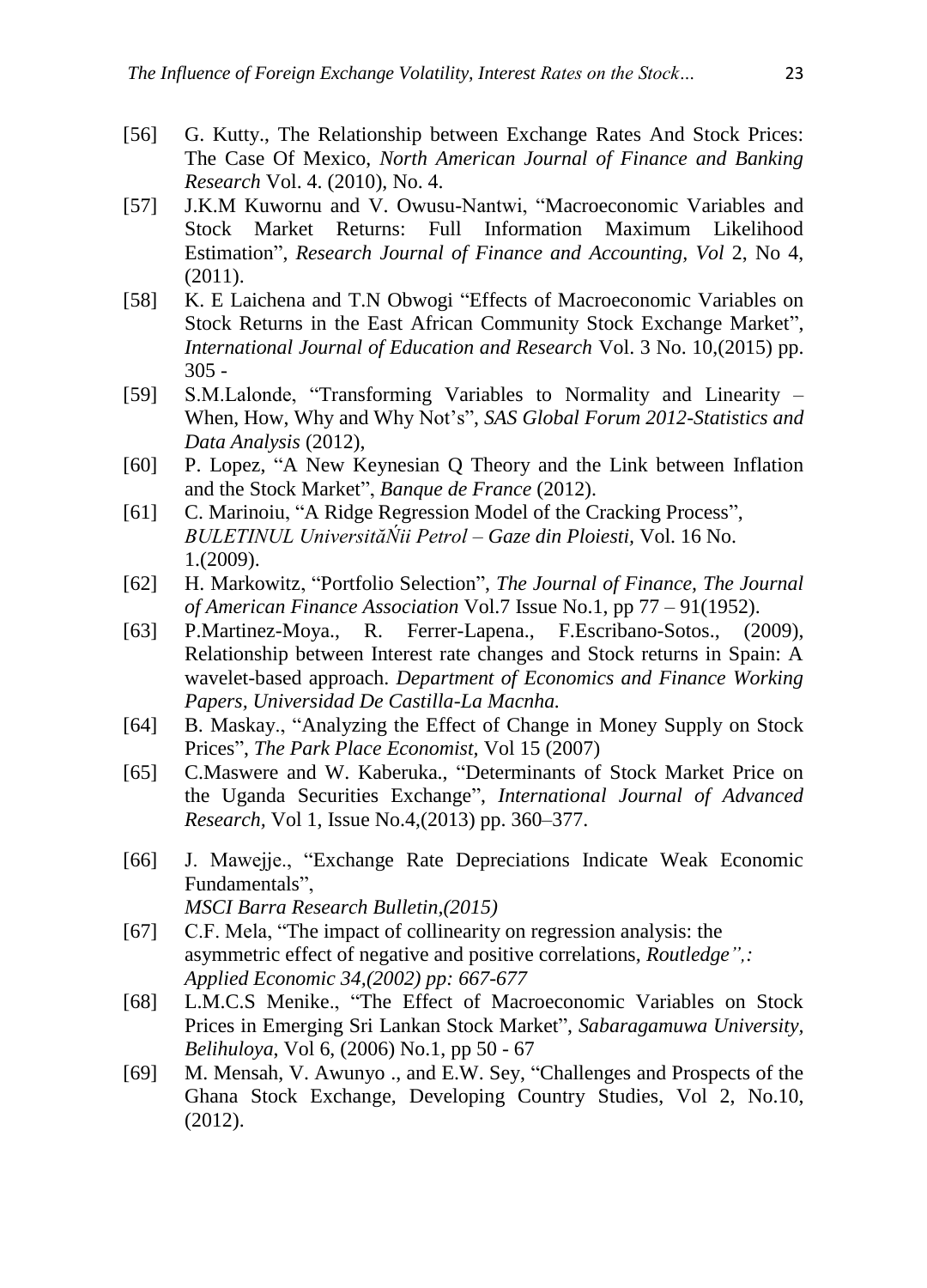- [56] G. Kutty., The Relationship between Exchange Rates And Stock Prices: The Case Of Mexico, *North American Journal of Finance and Banking Research* Vol. 4. (2010), No. 4.
- [57] J.K.M Kuwornu and V. Owusu-Nantwi, "Macroeconomic Variables and Stock Market Returns: Full Information Maximum Likelihood Estimation", *Research Journal of Finance and Accounting, Vol* 2, No 4, (2011).
- [58] K. E Laichena and T.N Obwogi "Effects of Macroeconomic Variables on Stock Returns in the East African Community Stock Exchange Market", *International Journal of Education and Research* Vol. 3 No. 10,(2015) pp. 305 -
- [59] S.M.Lalonde, "Transforming Variables to Normality and Linearity When, How, Why and Why Not's", *SAS Global Forum 2012-Statistics and Data Analysis* (2012),
- [60] P. Lopez, "A New Keynesian Q Theory and the Link between Inflation and the Stock Market", *Banque de France* (2012).
- [61] C. Marinoiu, "A Ridge Regression Model of the Cracking Process", *BULETINUL UniversităŃii Petrol – Gaze din Ploiesti,* Vol. 16 No. 1.(2009).
- [62] H. Markowitz, "Portfolio Selection", *The Journal of Finance, The Journal of American Finance Association* Vol.7 Issue No.1, pp 77 – 91(1952).
- [63] P.Martinez-Moya., R. Ferrer-Lapena., F.Escribano-Sotos., (2009), Relationship between Interest rate changes and Stock returns in Spain: A wavelet-based approach. *Department of Economics and Finance Working Papers, Universidad De Castilla-La Macnha.*
- [64] B. Maskay., "Analyzing the Effect of Change in Money Supply on Stock Prices", *The Park Place Economist,* Vol 15 (2007)
- [65] C.Maswere and W. Kaberuka., "Determinants of Stock Market Price on the Uganda Securities Exchange", *International Journal of Advanced Research,* Vol 1, Issue No.4,(2013) pp. 360–377.
- [66] J. Mawejje., "Exchange Rate Depreciations Indicate Weak Economic Fundamentals", *MSCI Barra Research Bulletin,(2015)*
- [67] C.F. Mela, "The impact of collinearity on regression analysis: the asymmetric effect of negative and positive correlations, *Routledge",:* 
	- *Applied Economic 34,(2002) pp: 667-677*
- [68] L.M.C.S Menike., "The Effect of Macroeconomic Variables on Stock Prices in Emerging Sri Lankan Stock Market", *Sabaragamuwa University, Belihuloya*, Vol 6, (2006) No.1, pp 50 - 67
- [69] M. Mensah, V. Awunyo ., and E.W. Sey, "Challenges and Prospects of the Ghana Stock Exchange, Developing Country Studies, Vol 2, No.10, (2012).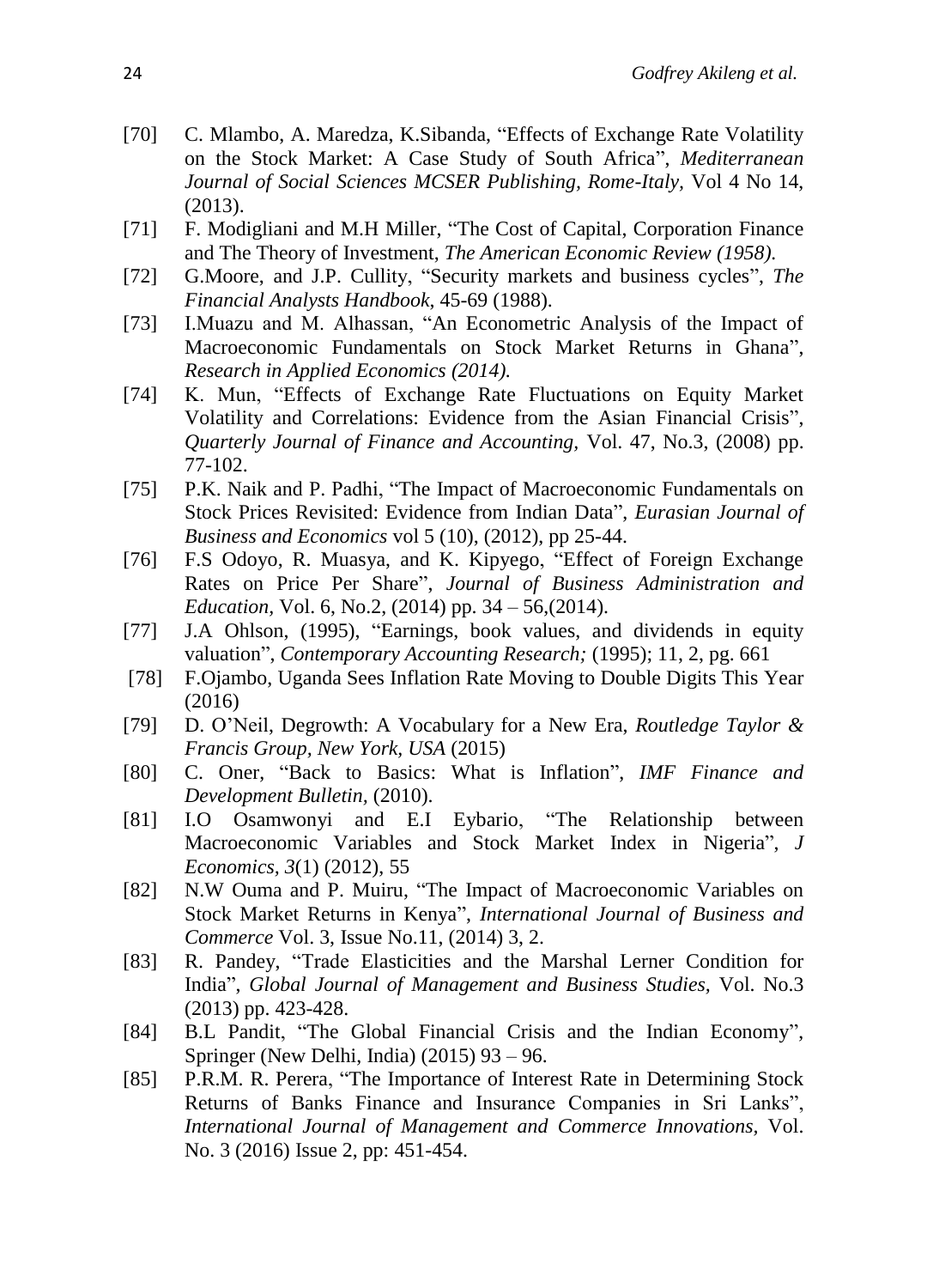- [70] C. Mlambo, A. Maredza, K. Sibanda, "Effects of Exchange Rate Volatility on the Stock Market: A Case Study of South Africa", *Mediterranean Journal of Social Sciences MCSER Publishing, Rome-Italy,* Vol 4 No 14, (2013).
- [71] F. Modigliani and M.H Miller, "The Cost of Capital, Corporation Finance and The Theory of Investment, *The American Economic Review (1958).*
- [72] G.Moore, and J.P. Cullity, "Security markets and business cycles", *The Financial Analysts Handbook*, 45-69 (1988).
- [73] I.Muazu and M. Alhassan, "An Econometric Analysis of the Impact of Macroeconomic Fundamentals on Stock Market Returns in Ghana", *Research in Applied Economics (2014).*
- [74] K. Mun, "Effects of Exchange Rate Fluctuations on Equity Market Volatility and Correlations: Evidence from the Asian Financial Crisis", *Quarterly Journal of Finance and Accounting,* Vol. 47, No.3, (2008) pp. 77-102.
- [75] P.K. Naik and P. Padhi, "The Impact of Macroeconomic Fundamentals on Stock Prices Revisited: Evidence from Indian Data", *Eurasian Journal of Business and Economics* vol 5 (10), (2012), pp 25-44.
- [76] F.S Odoyo, R. Muasya, and K. Kipyego, "Effect of Foreign Exchange Rates on Price Per Share", *Journal of Business Administration and Education,* Vol. 6, No.2, (2014) pp. 34 – 56,(2014).
- [77] J.A Ohlson, (1995), "Earnings, book values, and dividends in equity valuation", *Contemporary Accounting Research;* (1995); 11, 2, pg. 661
- [78] F.Ojambo, Uganda Sees Inflation Rate Moving to Double Digits This Year (2016)
- [79] D. O'Neil, Degrowth: A Vocabulary for a New Era, *Routledge Taylor & Francis Group, New York, USA* (2015)
- [80] C. Oner, "Back to Basics: What is Inflation", *IMF Finance and Development Bulletin,* (2010).
- [81] I.O Osamwonyi and E.I Eybario, "The Relationship between Macroeconomic Variables and Stock Market Index in Nigeria", *J Economics, 3*(1) (2012), 55
- [82] N.W Ouma and P. Muiru, "The Impact of Macroeconomic Variables on Stock Market Returns in Kenya", *International Journal of Business and Commerce* Vol. 3, Issue No.11, (2014) 3, 2.
- [83] R. Pandey, "Trade Elasticities and the Marshal Lerner Condition for India", *Global Journal of Management and Business Studies,* Vol. No.3 (2013) pp. 423-428.
- [84] B.L Pandit, "The Global Financial Crisis and the Indian Economy", Springer (New Delhi, India) (2015) 93 – 96.
- [85] P.R.M. R. Perera, "The Importance of Interest Rate in Determining Stock Returns of Banks Finance and Insurance Companies in Sri Lanks", *International Journal of Management and Commerce Innovations,* Vol. No. 3 (2016) Issue 2, pp: 451-454.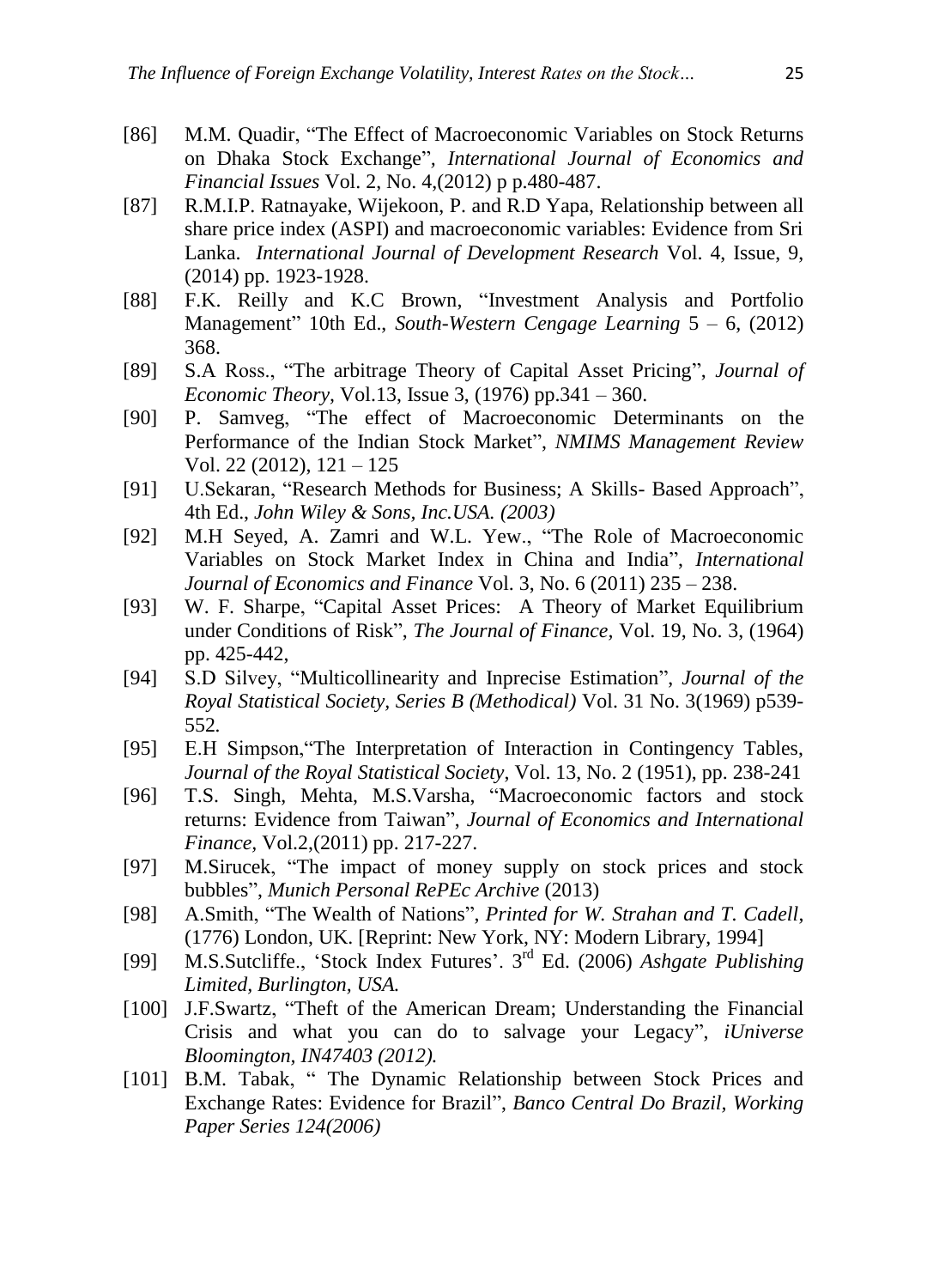- [86] M.M. Quadir, "The Effect of Macroeconomic Variables on Stock Returns on Dhaka Stock Exchange"*, International Journal of Economics and Financial Issues* Vol. 2, No. 4,(2012) p p.480-487.
- [87] R.M.I.P. Ratnayake, Wijekoon, P. and R.D Yapa, Relationship between all share price index (ASPI) and macroeconomic variables: Evidence from Sri Lanka. *International Journal of Development Research* Vol. 4, Issue, 9, (2014) pp. 1923-1928.
- [88] F.K. Reilly and K.C Brown, "Investment Analysis and Portfolio Management" 10th Ed., *South-Western Cengage Learning* 5 – 6, (2012) 368.
- [89] S.A Ross., "The arbitrage Theory of Capital Asset Pricing", *Journal of Economic Theory,* Vol.13, Issue 3, (1976) pp.341 – 360.
- [90] P. Samveg, "The effect of Macroeconomic Determinants on the Performance of the Indian Stock Market", *NMIMS Management Review*  Vol. 22 (2012), 121 – 125
- [91] U.Sekaran, "Research Methods for Business; A Skills- Based Approach", 4th Ed., *John Wiley & Sons, Inc.USA. (2003)*
- [92] M.H Seyed, A. Zamri and W.L. Yew., "The Role of Macroeconomic Variables on Stock Market Index in China and India", *International Journal of Economics and Finance* Vol. 3, No. 6 (2011) 235 – 238.
- [93] W. F. Sharpe, "Capital Asset Prices: A Theory of Market Equilibrium under Conditions of Risk", *The Journal of Finance,* Vol. 19, No. 3, (1964) pp. 425-442,
- [94] S.D Silvey, "Multicollinearity and Inprecise Estimation", *Journal of the Royal Statistical Society, Series B (Methodical)* Vol. 31 No. 3(1969) p539- 552*.*
- [95] E.H Simpson,"The Interpretation of Interaction in Contingency Tables, *Journal of the Royal Statistical Society*, Vol. 13, No. 2 (1951), pp. 238-241
- [96] T.S. Singh, Mehta, M.S.Varsha, "Macroeconomic factors and stock returns: Evidence from Taiwan", *Journal of Economics and International Finance,* Vol.2,(2011) pp. 217-227.
- [97] M.Sirucek, "The impact of money supply on stock prices and stock bubbles", *Munich Personal RePEc Archive* (2013)
- [98] A.Smith, "The Wealth of Nations", *Printed for W. Strahan and T. Cadell*, (1776) London, UK. [Reprint: New York, NY: Modern Library, 1994]
- [99] M.S.Sutcliffe., 'Stock Index Futures'. 3 rd Ed. (2006) *Ashgate Publishing Limited, Burlington, USA.*
- [100] J.F.Swartz, "Theft of the American Dream; Understanding the Financial Crisis and what you can do to salvage your Legacy", *iUniverse Bloomington, IN47403 (2012).*
- [101] B.M. Tabak, "The Dynamic Relationship between Stock Prices and Exchange Rates: Evidence for Brazil", *Banco Central Do Brazil, Working Paper Series 124(2006)*